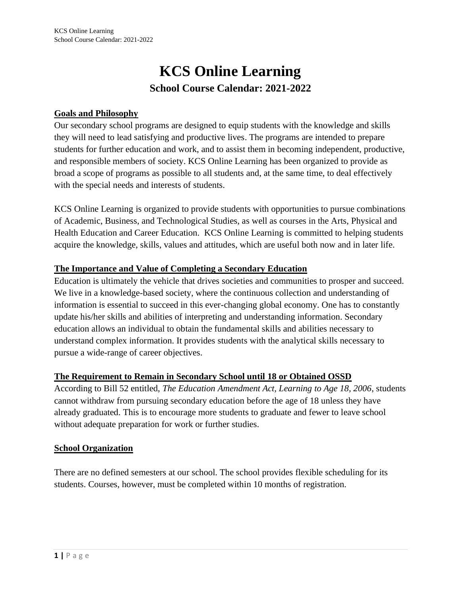# **KCS Online Learning School Course Calendar: 2021-2022**

# **Goals and Philosophy**

Our secondary school programs are designed to equip students with the knowledge and skills they will need to lead satisfying and productive lives. The programs are intended to prepare students for further education and work, and to assist them in becoming independent, productive, and responsible members of society. KCS Online Learning has been organized to provide as broad a scope of programs as possible to all students and, at the same time, to deal effectively with the special needs and interests of students.

KCS Online Learning is organized to provide students with opportunities to pursue combinations of Academic, Business, and Technological Studies, as well as courses in the Arts, Physical and Health Education and Career Education. KCS Online Learning is committed to helping students acquire the knowledge, skills, values and attitudes, which are useful both now and in later life.

### **The Importance and Value of Completing a Secondary Education**

Education is ultimately the vehicle that drives societies and communities to prosper and succeed. We live in a knowledge-based society, where the continuous collection and understanding of information is essential to succeed in this ever-changing global economy. One has to constantly update his/her skills and abilities of interpreting and understanding information. Secondary education allows an individual to obtain the fundamental skills and abilities necessary to understand complex information. It provides students with the analytical skills necessary to pursue a wide-range of career objectives.

# **The Requirement to Remain in Secondary School until 18 or Obtained OSSD**

According to Bill 52 entitled, *The Education Amendment Act, Learning to Age 18, 2006*, students cannot withdraw from pursuing secondary education before the age of 18 unless they have already graduated. This is to encourage more students to graduate and fewer to leave school without adequate preparation for work or further studies.

#### **School Organization**

There are no defined semesters at our school. The school provides flexible scheduling for its students. Courses, however, must be completed within 10 months of registration.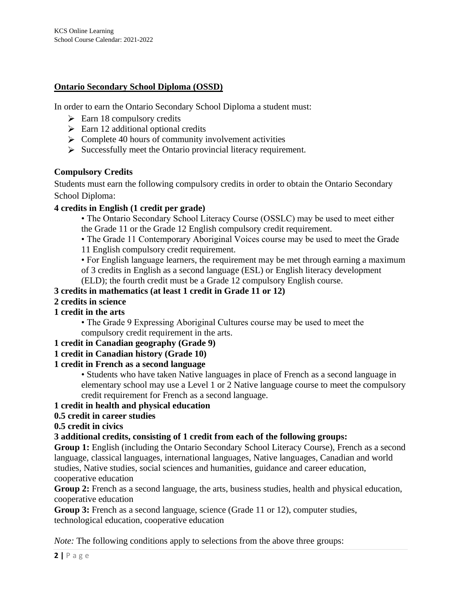### **Ontario Secondary School Diploma (OSSD)**

In order to earn the Ontario Secondary School Diploma a student must:

- $\geq$  Earn 18 compulsory credits
- $\triangleright$  Earn 12 additional optional credits
- $\triangleright$  Complete 40 hours of community involvement activities
- $\triangleright$  Successfully meet the Ontario provincial literacy requirement.

### **Compulsory Credits**

Students must earn the following compulsory credits in order to obtain the Ontario Secondary School Diploma:

#### **4 credits in English (1 credit per grade)**

- The Ontario Secondary School Literacy Course (OSSLC) may be used to meet either the Grade 11 or the Grade 12 English compulsory credit requirement.
- The Grade 11 Contemporary Aboriginal Voices course may be used to meet the Grade
- 11 English compulsory credit requirement.

• For English language learners, the requirement may be met through earning a maximum of 3 credits in English as a second language (ESL) or English literacy development

(ELD); the fourth credit must be a Grade 12 compulsory English course.

#### **3 credits in mathematics (at least 1 credit in Grade 11 or 12)**

#### **2 credits in science**

#### **1 credit in the arts**

• The Grade 9 Expressing Aboriginal Cultures course may be used to meet the compulsory credit requirement in the arts.

#### **1 credit in Canadian geography (Grade 9)**

#### **1 credit in Canadian history (Grade 10)**

#### **1 credit in French as a second language**

• Students who have taken Native languages in place of French as a second language in elementary school may use a Level 1 or 2 Native language course to meet the compulsory credit requirement for French as a second language.

### **1 credit in health and physical education**

### **0.5 credit in career studies**

#### **0.5 credit in civics**

#### **3 additional credits, consisting of 1 credit from each of the following groups:**

Group 1: English (including the Ontario Secondary School Literacy Course), French as a second language, classical languages, international languages, Native languages, Canadian and world studies, Native studies, social sciences and humanities, guidance and career education, cooperative education

Group 2: French as a second language, the arts, business studies, health and physical education, cooperative education

**Group 3:** French as a second language, science (Grade 11 or 12), computer studies, technological education, cooperative education

*Note:* The following conditions apply to selections from the above three groups: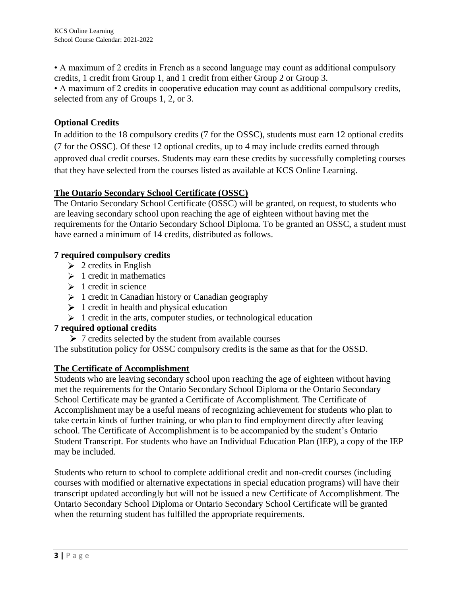• A maximum of 2 credits in French as a second language may count as additional compulsory credits, 1 credit from Group 1, and 1 credit from either Group 2 or Group 3.

• A maximum of 2 credits in cooperative education may count as additional compulsory credits, selected from any of Groups 1, 2, or 3.

# **Optional Credits**

In addition to the 18 compulsory credits (7 for the OSSC), students must earn 12 optional credits (7 for the OSSC). Of these 12 optional credits, up to 4 may include credits earned through approved dual credit courses. Students may earn these credits by successfully completing courses that they have selected from the courses listed as available at KCS Online Learning.

# **The Ontario Secondary School Certificate (OSSC)**

The Ontario Secondary School Certificate (OSSC) will be granted, on request, to students who are leaving secondary school upon reaching the age of eighteen without having met the requirements for the Ontario Secondary School Diploma. To be granted an OSSC, a student must have earned a minimum of 14 credits, distributed as follows.

# **7 required compulsory credits**

- $\geq 2$  credits in English
- $\geq 1$  credit in mathematics
- $\geq 1$  credit in science
- $\geq 1$  credit in Canadian history or Canadian geography
- $\geq 1$  credit in health and physical education
- $\geq 1$  credit in the arts, computer studies, or technological education

# **7 required optional credits**

 $\triangleright$  7 credits selected by the student from available courses

The substitution policy for OSSC compulsory credits is the same as that for the OSSD.

# **The Certificate of Accomplishment**

Students who are leaving secondary school upon reaching the age of eighteen without having met the requirements for the Ontario Secondary School Diploma or the Ontario Secondary School Certificate may be granted a Certificate of Accomplishment. The Certificate of Accomplishment may be a useful means of recognizing achievement for students who plan to take certain kinds of further training, or who plan to find employment directly after leaving school. The Certificate of Accomplishment is to be accompanied by the student's Ontario Student Transcript. For students who have an Individual Education Plan (IEP), a copy of the IEP may be included.

Students who return to school to complete additional credit and non-credit courses (including courses with modified or alternative expectations in special education programs) will have their transcript updated accordingly but will not be issued a new Certificate of Accomplishment. The Ontario Secondary School Diploma or Ontario Secondary School Certificate will be granted when the returning student has fulfilled the appropriate requirements.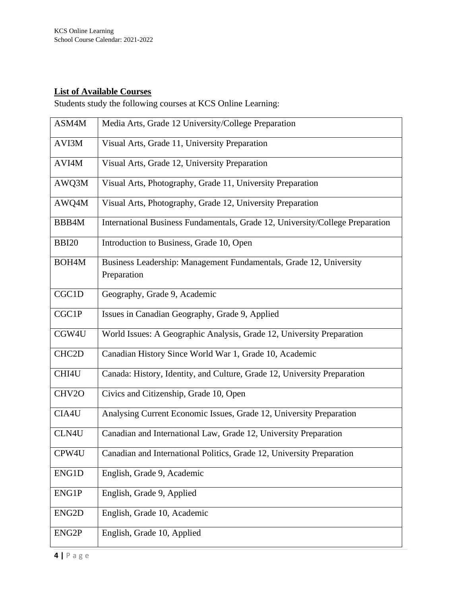# **List of Available Courses**

Students study the following courses at KCS Online Learning:

| ASM4M              | Media Arts, Grade 12 University/College Preparation                               |
|--------------------|-----------------------------------------------------------------------------------|
| AVI3M              | Visual Arts, Grade 11, University Preparation                                     |
| AVI4M              | Visual Arts, Grade 12, University Preparation                                     |
| AWQ3M              | Visual Arts, Photography, Grade 11, University Preparation                        |
| AWQ4M              | Visual Arts, Photography, Grade 12, University Preparation                        |
| BBB4M              | International Business Fundamentals, Grade 12, University/College Preparation     |
| <b>BBI20</b>       | Introduction to Business, Grade 10, Open                                          |
| BOH <sub>4</sub> M | Business Leadership: Management Fundamentals, Grade 12, University<br>Preparation |
| CGC1D              | Geography, Grade 9, Academic                                                      |
| CGC1P              | Issues in Canadian Geography, Grade 9, Applied                                    |
| CGW4U              | World Issues: A Geographic Analysis, Grade 12, University Preparation             |
| CHC <sub>2</sub> D | Canadian History Since World War 1, Grade 10, Academic                            |
| CHI4U              | Canada: History, Identity, and Culture, Grade 12, University Preparation          |
| CHV2O              | Civics and Citizenship, Grade 10, Open                                            |
| CIA4U              | Analysing Current Economic Issues, Grade 12, University Preparation               |
| CLN4U              | Canadian and International Law, Grade 12, University Preparation                  |
| CPW4U              | Canadian and International Politics, Grade 12, University Preparation             |
| ENG1D              | English, Grade 9, Academic                                                        |
| ENG1P              | English, Grade 9, Applied                                                         |
| ENG <sub>2</sub> D | English, Grade 10, Academic                                                       |
| ENG <sub>2</sub> P | English, Grade 10, Applied                                                        |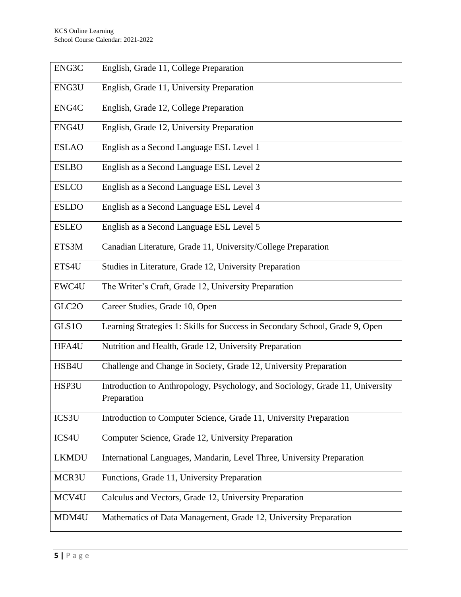| ENG3C        | English, Grade 11, College Preparation                                                       |
|--------------|----------------------------------------------------------------------------------------------|
| ENG3U        | English, Grade 11, University Preparation                                                    |
| ENG4C        | English, Grade 12, College Preparation                                                       |
| ENG4U        | English, Grade 12, University Preparation                                                    |
| <b>ESLAO</b> | English as a Second Language ESL Level 1                                                     |
| <b>ESLBO</b> | English as a Second Language ESL Level 2                                                     |
| <b>ESLCO</b> | English as a Second Language ESL Level 3                                                     |
| <b>ESLDO</b> | English as a Second Language ESL Level 4                                                     |
| <b>ESLEO</b> | English as a Second Language ESL Level 5                                                     |
| ETS3M        | Canadian Literature, Grade 11, University/College Preparation                                |
| ETS4U        | Studies in Literature, Grade 12, University Preparation                                      |
| EWC4U        | The Writer's Craft, Grade 12, University Preparation                                         |
| GLC2O        | Career Studies, Grade 10, Open                                                               |
| GLS1O        | Learning Strategies 1: Skills for Success in Secondary School, Grade 9, Open                 |
| HFA4U        | Nutrition and Health, Grade 12, University Preparation                                       |
| HSB4U        | Challenge and Change in Society, Grade 12, University Preparation                            |
| HSP3U        | Introduction to Anthropology, Psychology, and Sociology, Grade 11, University<br>Preparation |
| ICS3U        | Introduction to Computer Science, Grade 11, University Preparation                           |
| ICS4U        | Computer Science, Grade 12, University Preparation                                           |
| <b>LKMDU</b> | International Languages, Mandarin, Level Three, University Preparation                       |
| MCR3U        | Functions, Grade 11, University Preparation                                                  |
| MCV4U        | Calculus and Vectors, Grade 12, University Preparation                                       |
| MDM4U        | Mathematics of Data Management, Grade 12, University Preparation                             |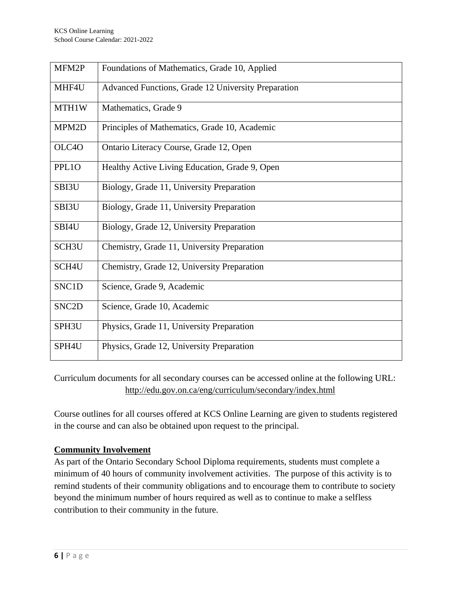| MFM2P              | Foundations of Mathematics, Grade 10, Applied       |
|--------------------|-----------------------------------------------------|
| MHF4U              | Advanced Functions, Grade 12 University Preparation |
| MTH1W              | Mathematics, Grade 9                                |
| MPM2D              | Principles of Mathematics, Grade 10, Academic       |
| OLC4O              | Ontario Literacy Course, Grade 12, Open             |
| PPL1O              | Healthy Active Living Education, Grade 9, Open      |
| SBI3U              | Biology, Grade 11, University Preparation           |
| SBI3U              | Biology, Grade 11, University Preparation           |
| SBI4U              | Biology, Grade 12, University Preparation           |
| SCH <sub>3U</sub>  | Chemistry, Grade 11, University Preparation         |
| SCH4U              | Chemistry, Grade 12, University Preparation         |
| SNC1D              | Science, Grade 9, Academic                          |
| SNC <sub>2</sub> D | Science, Grade 10, Academic                         |
| SPH3U              | Physics, Grade 11, University Preparation           |
| SPH4U              | Physics, Grade 12, University Preparation           |

Curriculum documents for all secondary courses can be accessed online at the following URL: <http://edu.gov.on.ca/eng/curriculum/secondary/index.html>

Course outlines for all courses offered at KCS Online Learning are given to students registered in the course and can also be obtained upon request to the principal.

# **Community Involvement**

As part of the Ontario Secondary School Diploma requirements, students must complete a minimum of 40 hours of community involvement activities. The purpose of this activity is to remind students of their community obligations and to encourage them to contribute to society beyond the minimum number of hours required as well as to continue to make a selfless contribution to their community in the future.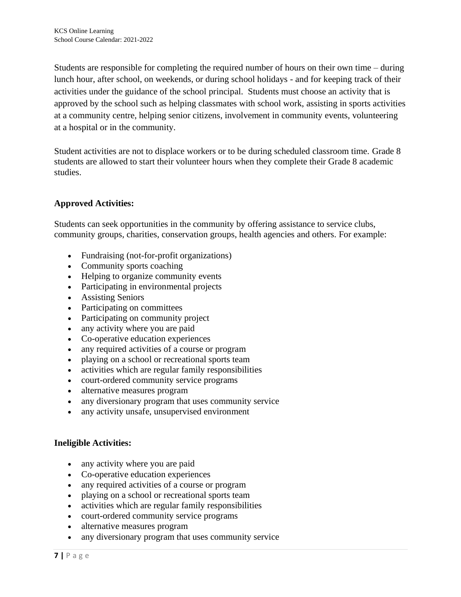Students are responsible for completing the required number of hours on their own time – during lunch hour, after school, on weekends, or during school holidays - and for keeping track of their activities under the guidance of the school principal. Students must choose an activity that is approved by the school such as helping classmates with school work, assisting in sports activities at a community centre, helping senior citizens, involvement in community events, volunteering at a hospital or in the community.

Student activities are not to displace workers or to be during scheduled classroom time. Grade 8 students are allowed to start their volunteer hours when they complete their Grade 8 academic studies.

# **Approved Activities:**

Students can seek opportunities in the community by offering assistance to service clubs, community groups, charities, conservation groups, health agencies and others. For example:

- Fundraising (not-for-profit organizations)
- Community sports coaching
- Helping to organize community events
- Participating in environmental projects
- Assisting Seniors
- Participating on committees
- Participating on community project
- any activity where you are paid
- Co-operative education experiences
- any required activities of a course or program
- playing on a school or recreational sports team
- activities which are regular family responsibilities
- court-ordered community service programs
- alternative measures program
- any diversionary program that uses community service
- any activity unsafe, unsupervised environment

#### **Ineligible Activities:**

- any activity where you are paid
- Co-operative education experiences
- any required activities of a course or program
- playing on a school or recreational sports team
- activities which are regular family responsibilities
- court-ordered community service programs
- alternative measures program
- any diversionary program that uses community service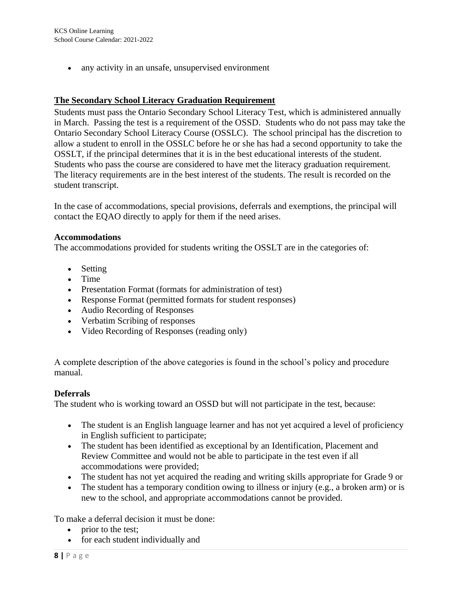• any activity in an unsafe, unsupervised environment

#### **The Secondary School Literacy Graduation Requirement**

Students must pass the Ontario Secondary School Literacy Test, which is administered annually in March. Passing the test is a requirement of the OSSD. Students who do not pass may take the Ontario Secondary School Literacy Course (OSSLC). The school principal has the discretion to allow a student to enroll in the OSSLC before he or she has had a second opportunity to take the OSSLT, if the principal determines that it is in the best educational interests of the student. Students who pass the course are considered to have met the literacy graduation requirement. The literacy requirements are in the best interest of the students. The result is recorded on the student transcript.

In the case of accommodations, special provisions, deferrals and exemptions, the principal will contact the EQAO directly to apply for them if the need arises.

#### **Accommodations**

The accommodations provided for students writing the OSSLT are in the categories of:

- Setting
- Time
- Presentation Format (formats for administration of test)
- Response Format (permitted formats for student responses)
- Audio Recording of Responses
- Verbatim Scribing of responses
- Video Recording of Responses (reading only)

A complete description of the above categories is found in the school's policy and procedure manual.

#### **Deferrals**

The student who is working toward an OSSD but will not participate in the test, because:

- The student is an English language learner and has not yet acquired a level of proficiency in English sufficient to participate;
- The student has been identified as exceptional by an Identification, Placement and Review Committee and would not be able to participate in the test even if all accommodations were provided;
- The student has not yet acquired the reading and writing skills appropriate for Grade 9 or
- The student has a temporary condition owing to illness or injury (e.g., a broken arm) or is new to the school, and appropriate accommodations cannot be provided.

To make a deferral decision it must be done:

- prior to the test;
- for each student individually and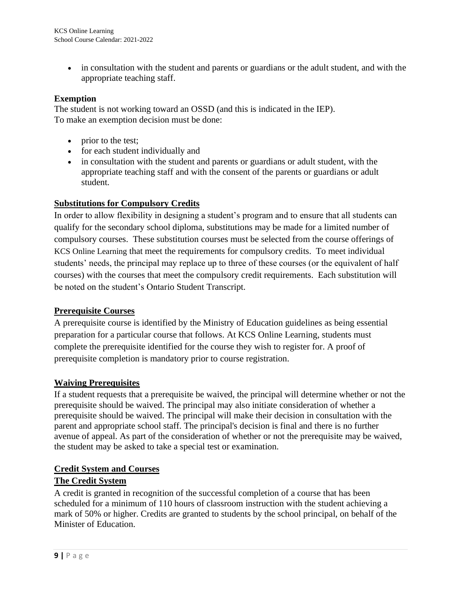• in consultation with the student and parents or guardians or the adult student, and with the appropriate teaching staff.

### **Exemption**

The student is not working toward an OSSD (and this is indicated in the IEP). To make an exemption decision must be done:

- prior to the test;
- for each student individually and
- in consultation with the student and parents or guardians or adult student, with the appropriate teaching staff and with the consent of the parents or guardians or adult student.

### **Substitutions for Compulsory Credits**

In order to allow flexibility in designing a student's program and to ensure that all students can qualify for the secondary school diploma, substitutions may be made for a limited number of compulsory courses. These substitution courses must be selected from the course offerings of KCS Online Learning that meet the requirements for compulsory credits. To meet individual students' needs, the principal may replace up to three of these courses (or the equivalent of half courses) with the courses that meet the compulsory credit requirements. Each substitution will be noted on the student's Ontario Student Transcript.

#### **Prerequisite Courses**

A prerequisite course is identified by the Ministry of Education guidelines as being essential preparation for a particular course that follows. At KCS Online Learning, students must complete the prerequisite identified for the course they wish to register for. A proof of prerequisite completion is mandatory prior to course registration.

#### **Waiving Prerequisites**

If a student requests that a prerequisite be waived, the principal will determine whether or not the prerequisite should be waived. The principal may also initiate consideration of whether a prerequisite should be waived. The principal will make their decision in consultation with the parent and appropriate school staff. The principal's decision is final and there is no further avenue of appeal. As part of the consideration of whether or not the prerequisite may be waived, the student may be asked to take a special test or examination.

# **Credit System and Courses**

# **The Credit System**

A credit is granted in recognition of the successful completion of a course that has been scheduled for a minimum of 110 hours of classroom instruction with the student achieving a mark of 50% or higher. Credits are granted to students by the school principal, on behalf of the Minister of Education.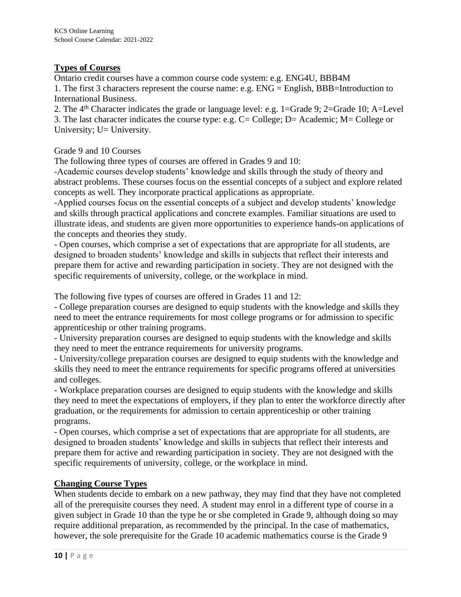### **Types of Courses**

Ontario credit courses have a common course code system: e.g. ENG4U, BBB4M

1. The first 3 characters represent the course name: e.g. ENG = English, BBB=Introduction to International Business.

2. The 4th Character indicates the grade or language level: e.g. 1=Grade 9; 2=Grade 10; A=Level 3. The last character indicates the course type: e.g. C= College; D= Academic; M= College or University; U= University.

### Grade 9 and 10 Courses

The following three types of courses are offered in Grades 9 and 10:

-Academic courses develop students' knowledge and skills through the study of theory and abstract problems. These courses focus on the essential concepts of a subject and explore related concepts as well. They incorporate practical applications as appropriate.

-Applied courses focus on the essential concepts of a subject and develop students' knowledge and skills through practical applications and concrete examples. Familiar situations are used to illustrate ideas, and students are given more opportunities to experience hands-on applications of the concepts and theories they study.

- Open courses, which comprise a set of expectations that are appropriate for all students, are designed to broaden students' knowledge and skills in subjects that reflect their interests and prepare them for active and rewarding participation in society. They are not designed with the specific requirements of university, college, or the workplace in mind.

The following five types of courses are offered in Grades 11 and 12:

- College preparation courses are designed to equip students with the knowledge and skills they need to meet the entrance requirements for most college programs or for admission to specific apprenticeship or other training programs.

- University preparation courses are designed to equip students with the knowledge and skills they need to meet the entrance requirements for university programs.

- University/college preparation courses are designed to equip students with the knowledge and skills they need to meet the entrance requirements for specific programs offered at universities and colleges.

- Workplace preparation courses are designed to equip students with the knowledge and skills they need to meet the expectations of employers, if they plan to enter the workforce directly after graduation, or the requirements for admission to certain apprenticeship or other training programs.

- Open courses, which comprise a set of expectations that are appropriate for all students, are designed to broaden students' knowledge and skills in subjects that reflect their interests and prepare them for active and rewarding participation in society. They are not designed with the specific requirements of university, college, or the workplace in mind.

# **Changing Course Types**

When students decide to embark on a new pathway, they may find that they have not completed all of the prerequisite courses they need. A student may enrol in a different type of course in a given subject in Grade 10 than the type he or she completed in Grade 9, although doing so may require additional preparation, as recommended by the principal. In the case of mathematics, however, the sole prerequisite for the Grade 10 academic mathematics course is the Grade 9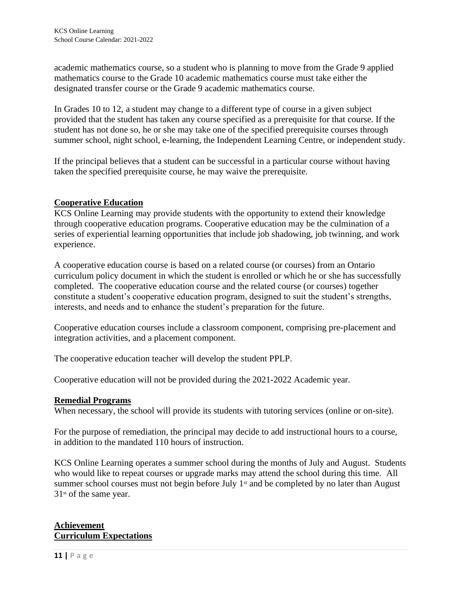academic mathematics course, so a student who is planning to move from the Grade 9 applied mathematics course to the Grade 10 academic mathematics course must take either the designated transfer course or the Grade 9 academic mathematics course.

In Grades 10 to 12, a student may change to a different type of course in a given subject provided that the student has taken any course specified as a prerequisite for that course. If the student has not done so, he or she may take one of the specified prerequisite courses through summer school, night school, e-learning, the Independent Learning Centre, or independent study.

If the principal believes that a student can be successful in a particular course without having taken the specified prerequisite course, he may waive the prerequisite.

### **Cooperative Education**

KCS Online Learning may provide students with the opportunity to extend their knowledge through cooperative education programs. Cooperative education may be the culmination of a series of experiential learning opportunities that include job shadowing, job twinning, and work experience.

A cooperative education course is based on a related course (or courses) from an Ontario curriculum policy document in which the student is enrolled or which he or she has successfully completed. The cooperative education course and the related course (or courses) together constitute a student's cooperative education program, designed to suit the student's strengths, interests, and needs and to enhance the student's preparation for the future.

Cooperative education courses include a classroom component, comprising pre-placement and integration activities, and a placement component.

The cooperative education teacher will develop the student PPLP.

Cooperative education will not be provided during the 2021-2022 Academic year.

#### **Remedial Programs**

When necessary, the school will provide its students with tutoring services (online or on-site).

For the purpose of remediation, the principal may decide to add instructional hours to a course, in addition to the mandated 110 hours of instruction.

KCS Online Learning operates a summer school during the months of July and August. Students who would like to repeat courses or upgrade marks may attend the school during this time. All summer school courses must not begin before July 1<sup>st</sup> and be completed by no later than August  $31<sup>st</sup>$  of the same year.

### **Achievement Curriculum Expectations**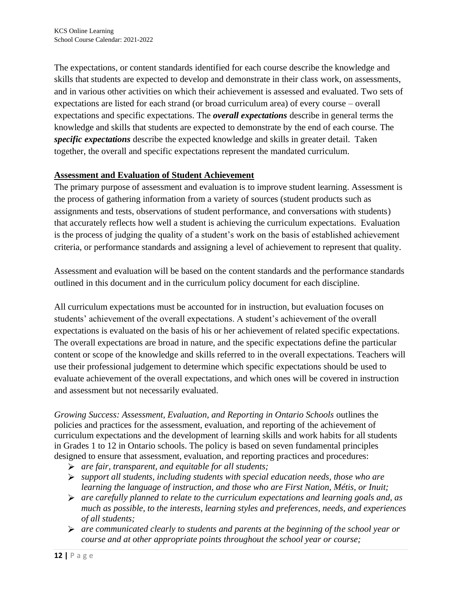The expectations, or content standards identified for each course describe the knowledge and skills that students are expected to develop and demonstrate in their class work, on assessments, and in various other activities on which their achievement is assessed and evaluated. Two sets of expectations are listed for each strand (or broad curriculum area) of every course – overall expectations and specific expectations. The *overall expectations* describe in general terms the knowledge and skills that students are expected to demonstrate by the end of each course. The *specific expectations* describe the expected knowledge and skills in greater detail. Taken together, the overall and specific expectations represent the mandated curriculum.

### **Assessment and Evaluation of Student Achievement**

The primary purpose of assessment and evaluation is to improve student learning. Assessment is the process of gathering information from a variety of sources (student products such as assignments and tests, observations of student performance, and conversations with students) that accurately reflects how well a student is achieving the curriculum expectations. Evaluation is the process of judging the quality of a student's work on the basis of established achievement criteria, or performance standards and assigning a level of achievement to represent that quality.

Assessment and evaluation will be based on the content standards and the performance standards outlined in this document and in the curriculum policy document for each discipline.

All curriculum expectations must be accounted for in instruction, but evaluation focuses on students' achievement of the overall expectations. A student's achievement of the overall expectations is evaluated on the basis of his or her achievement of related specific expectations. The overall expectations are broad in nature, and the specific expectations define the particular content or scope of the knowledge and skills referred to in the overall expectations. Teachers will use their professional judgement to determine which specific expectations should be used to evaluate achievement of the overall expectations, and which ones will be covered in instruction and assessment but not necessarily evaluated.

*Growing Success: Assessment, Evaluation, and Reporting in Ontario Schools outlines the* policies and practices for the assessment, evaluation, and reporting of the achievement of curriculum expectations and the development of learning skills and work habits for all students in Grades 1 to 12 in Ontario schools. The policy is based on seven fundamental principles designed to ensure that assessment, evaluation, and reporting practices and procedures:

- *are fair, transparent, and equitable for all students;*
- *support all students, including students with special education needs, those who are learning the language of instruction, and those who are First Nation, Métis, or Inuit;*
- *are carefully planned to relate to the curriculum expectations and learning goals and, as much as possible, to the interests, learning styles and preferences, needs, and experiences of all students;*
- *are communicated clearly to students and parents at the beginning of the school year or course and at other appropriate points throughout the school year or course;*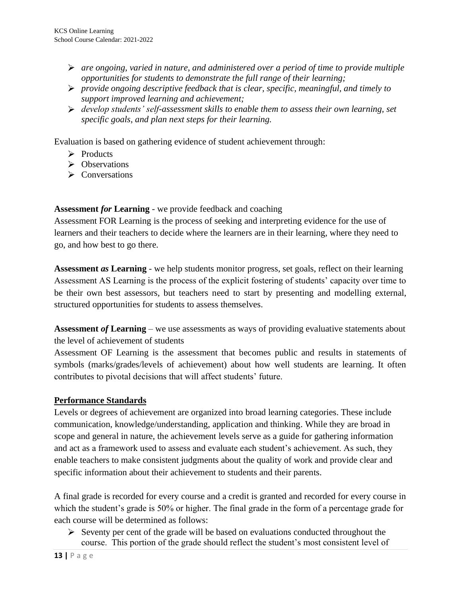- *are ongoing, varied in nature, and administered over a period of time to provide multiple opportunities for students to demonstrate the full range of their learning;*
- *provide ongoing descriptive feedback that is clear, specific, meaningful, and timely to support improved learning and achievement;*
- *develop students' self-assessment skills to enable them to assess their own learning, set specific goals, and plan next steps for their learning.*

Evaluation is based on gathering evidence of student achievement through:

- $\triangleright$  Products
- $\triangleright$  Observations
- $\triangleright$  Conversations

**Assessment** *for* **Learning** - we provide feedback and coaching

Assessment FOR Learning is the process of seeking and interpreting evidence for the use of learners and their teachers to decide where the learners are in their learning, where they need to go, and how best to go there.

**Assessment** *as* **Learning** - we help students monitor progress, set goals, reflect on their learning Assessment AS Learning is the process of the explicit fostering of students' capacity over time to be their own best assessors, but teachers need to start by presenting and modelling external, structured opportunities for students to assess themselves.

**Assessment** *of* **Learning** – we use assessments as ways of providing evaluative statements about the level of achievement of students

Assessment OF Learning is the assessment that becomes public and results in statements of symbols (marks/grades/levels of achievement) about how well students are learning. It often contributes to pivotal decisions that will affect students' future.

# **Performance Standards**

Levels or degrees of achievement are organized into broad learning categories. These include communication, knowledge/understanding, application and thinking. While they are broad in scope and general in nature, the achievement levels serve as a guide for gathering information and act as a framework used to assess and evaluate each student's achievement. As such, they enable teachers to make consistent judgments about the quality of work and provide clear and specific information about their achievement to students and their parents.

A final grade is recorded for every course and a credit is granted and recorded for every course in which the student's grade is 50% or higher. The final grade in the form of a percentage grade for each course will be determined as follows:

 $\triangleright$  Seventy per cent of the grade will be based on evaluations conducted throughout the course. This portion of the grade should reflect the student's most consistent level of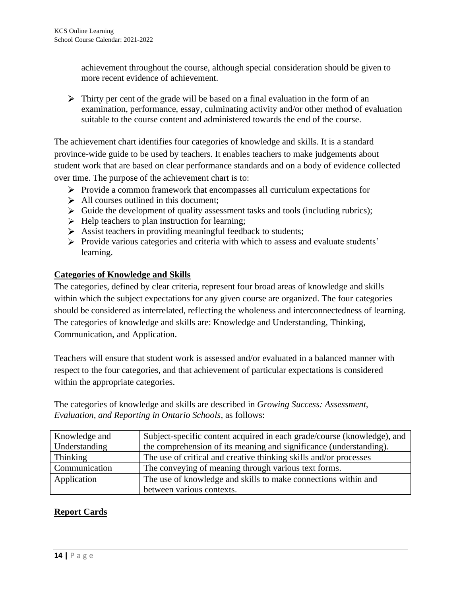achievement throughout the course, although special consideration should be given to more recent evidence of achievement.

 $\triangleright$  Thirty per cent of the grade will be based on a final evaluation in the form of an examination, performance, essay, culminating activity and/or other method of evaluation suitable to the course content and administered towards the end of the course.

The achievement chart identifies four categories of knowledge and skills. It is a standard province-wide guide to be used by teachers. It enables teachers to make judgements about student work that are based on clear performance standards and on a body of evidence collected over time. The purpose of the achievement chart is to:

- $\triangleright$  Provide a common framework that encompasses all curriculum expectations for
- $\triangleright$  All courses outlined in this document;
- $\triangleright$  Guide the development of quality assessment tasks and tools (including rubrics);
- $\blacktriangleright$  Help teachers to plan instruction for learning:
- $\triangleright$  Assist teachers in providing meaningful feedback to students;
- Provide various categories and criteria with which to assess and evaluate students' learning.

### **Categories of Knowledge and Skills**

The categories, defined by clear criteria, represent four broad areas of knowledge and skills within which the subject expectations for any given course are organized. The four categories should be considered as interrelated, reflecting the wholeness and interconnectedness of learning. The categories of knowledge and skills are: Knowledge and Understanding, Thinking, Communication, and Application.

Teachers will ensure that student work is assessed and/or evaluated in a balanced manner with respect to the four categories, and that achievement of particular expectations is considered within the appropriate categories.

The categories of knowledge and skills are described in *Growing Success: Assessment, Evaluation, and Reporting in Ontario Schools,* as follows:

| Knowledge and | Subject-specific content acquired in each grade/course (knowledge), and |
|---------------|-------------------------------------------------------------------------|
| Understanding | the comprehension of its meaning and significance (understanding).      |
| Thinking      | The use of critical and creative thinking skills and/or processes       |
| Communication | The conveying of meaning through various text forms.                    |
| Application   | The use of knowledge and skills to make connections within and          |
|               | between various contexts.                                               |

# **Report Cards**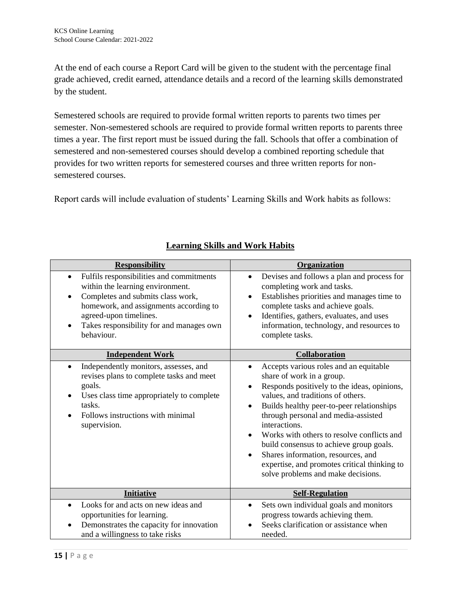At the end of each course a Report Card will be given to the student with the percentage final grade achieved, credit earned, attendance details and a record of the learning skills demonstrated by the student.

Semestered schools are required to provide formal written reports to parents two times per semester. Non-semestered schools are required to provide formal written reports to parents three times a year. The first report must be issued during the fall. Schools that offer a combination of semestered and non-semestered courses should develop a combined reporting schedule that provides for two written reports for semestered courses and three written reports for nonsemestered courses.

Report cards will include evaluation of students' Learning Skills and Work habits as follows:

| <b>Responsibility</b>                                                                                                                                                                                                                                                     | Organization                                                                                                                                                                                                                                                                                                                                                                                                                                                                                   |
|---------------------------------------------------------------------------------------------------------------------------------------------------------------------------------------------------------------------------------------------------------------------------|------------------------------------------------------------------------------------------------------------------------------------------------------------------------------------------------------------------------------------------------------------------------------------------------------------------------------------------------------------------------------------------------------------------------------------------------------------------------------------------------|
| Fulfils responsibilities and commitments<br>$\bullet$<br>within the learning environment.<br>Completes and submits class work,<br>$\bullet$<br>homework, and assignments according to<br>agreed-upon timelines.<br>Takes responsibility for and manages own<br>behaviour. | Devises and follows a plan and process for<br>$\bullet$<br>completing work and tasks.<br>Establishes priorities and manages time to<br>$\bullet$<br>complete tasks and achieve goals.<br>Identifies, gathers, evaluates, and uses<br>information, technology, and resources to<br>complete tasks.                                                                                                                                                                                              |
| <b>Independent Work</b>                                                                                                                                                                                                                                                   | Collaboration                                                                                                                                                                                                                                                                                                                                                                                                                                                                                  |
| Independently monitors, assesses, and<br>$\bullet$<br>revises plans to complete tasks and meet<br>goals.<br>Uses class time appropriately to complete<br>tasks.<br>Follows instructions with minimal<br>supervision.                                                      | Accepts various roles and an equitable<br>$\bullet$<br>share of work in a group.<br>Responds positively to the ideas, opinions,<br>values, and traditions of others.<br>Builds healthy peer-to-peer relationships<br>through personal and media-assisted<br>interactions.<br>Works with others to resolve conflicts and<br>build consensus to achieve group goals.<br>Shares information, resources, and<br>expertise, and promotes critical thinking to<br>solve problems and make decisions. |
| <b>Initiative</b>                                                                                                                                                                                                                                                         | <b>Self-Regulation</b>                                                                                                                                                                                                                                                                                                                                                                                                                                                                         |
| Looks for and acts on new ideas and<br>$\bullet$<br>opportunities for learning.<br>Demonstrates the capacity for innovation<br>and a willingness to take risks                                                                                                            | Sets own individual goals and monitors<br>$\bullet$<br>progress towards achieving them.<br>Seeks clarification or assistance when<br>needed.                                                                                                                                                                                                                                                                                                                                                   |

# **Learning Skills and Work Habits**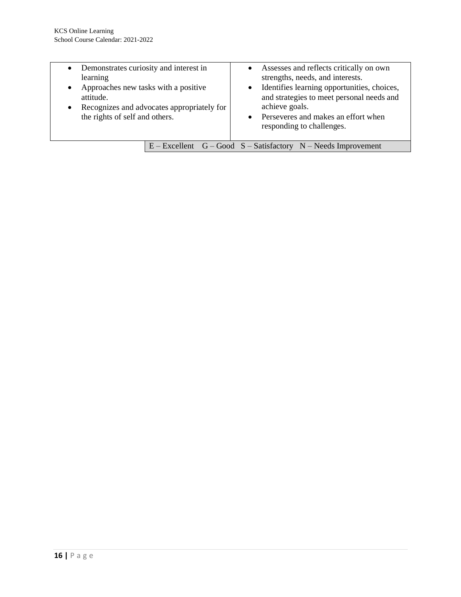| • Demonstrates curiosity and interest in<br>learning<br>Approaches new tasks with a positive<br>$\bullet$<br>attitude.<br>$\bullet$<br>the rights of self and others. | Recognizes and advocates appropriately for | achieve goals. | • Assesses and reflects critically on own<br>strengths, needs, and interests.<br>• Identifies learning opportunities, choices,<br>and strategies to meet personal needs and<br>• Perseveres and makes an effort when<br>responding to challenges. |
|-----------------------------------------------------------------------------------------------------------------------------------------------------------------------|--------------------------------------------|----------------|---------------------------------------------------------------------------------------------------------------------------------------------------------------------------------------------------------------------------------------------------|
|                                                                                                                                                                       |                                            |                |                                                                                                                                                                                                                                                   |
|                                                                                                                                                                       |                                            |                | $E - Excellent$ G – Good S – Satisfactory N – Needs Improvement                                                                                                                                                                                   |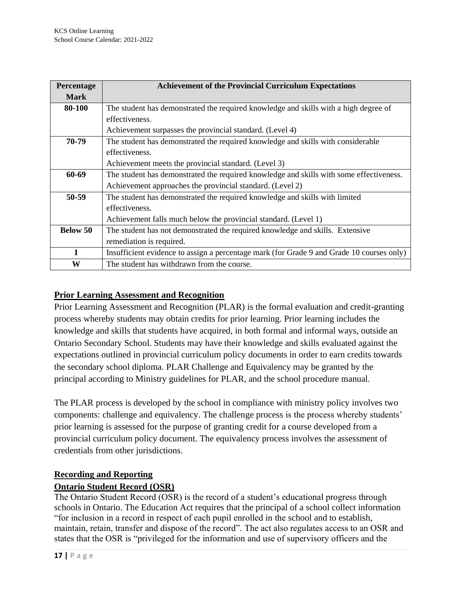| Percentage      | <b>Achievement of the Provincial Curriculum Expectations</b>                              |
|-----------------|-------------------------------------------------------------------------------------------|
| <b>Mark</b>     |                                                                                           |
| 80-100          | The student has demonstrated the required knowledge and skills with a high degree of      |
|                 | effectiveness.                                                                            |
|                 | Achievement surpasses the provincial standard. (Level 4)                                  |
| 70-79           | The student has demonstrated the required knowledge and skills with considerable          |
|                 | effectiveness.                                                                            |
|                 | Achievement meets the provincial standard. (Level 3)                                      |
| 60-69           | The student has demonstrated the required knowledge and skills with some effectiveness.   |
|                 | Achievement approaches the provincial standard. (Level 2)                                 |
| 50-59           | The student has demonstrated the required knowledge and skills with limited               |
|                 | effectiveness.                                                                            |
|                 | Achievement falls much below the provincial standard. (Level 1)                           |
| <b>Below 50</b> | The student has not demonstrated the required knowledge and skills. Extensive             |
|                 | remediation is required.                                                                  |
| $\mathbf{I}$    | Insufficient evidence to assign a percentage mark (for Grade 9 and Grade 10 courses only) |
| W               | The student has withdrawn from the course.                                                |

# **Prior Learning Assessment and Recognition**

Prior Learning Assessment and Recognition (PLAR) is the formal evaluation and credit-granting process whereby students may obtain credits for prior learning. Prior learning includes the knowledge and skills that students have acquired, in both formal and informal ways, outside an Ontario Secondary School. Students may have their knowledge and skills evaluated against the expectations outlined in provincial curriculum policy documents in order to earn credits towards the secondary school diploma. PLAR Challenge and Equivalency may be granted by the principal according to Ministry guidelines for PLAR, and the school procedure manual.

The PLAR process is developed by the school in compliance with ministry policy involves two components: challenge and equivalency. The challenge process is the process whereby students' prior learning is assessed for the purpose of granting credit for a course developed from a provincial curriculum policy document. The equivalency process involves the assessment of credentials from other jurisdictions.

#### **Recording and Reporting**

#### **Ontario Student Record (OSR)**

The Ontario Student Record (OSR) is the record of a student's educational progress through schools in Ontario. The Education Act requires that the principal of a school collect information "for inclusion in a record in respect of each pupil enrolled in the school and to establish, maintain, retain, transfer and dispose of the record". The act also regulates access to an OSR and states that the OSR is "privileged for the information and use of supervisory officers and the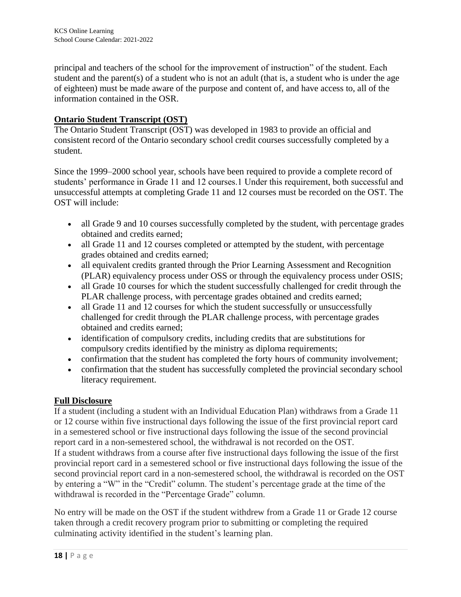principal and teachers of the school for the improvement of instruction" of the student. Each student and the parent(s) of a student who is not an adult (that is, a student who is under the age of eighteen) must be made aware of the purpose and content of, and have access to, all of the information contained in the OSR.

# **Ontario Student Transcript (OST)**

The Ontario Student Transcript (OST) was developed in 1983 to provide an official and consistent record of the Ontario secondary school credit courses successfully completed by a student.

Since the 1999–2000 school year, schools have been required to provide a complete record of students' performance in Grade 11 and 12 courses.1 Under this requirement, both successful and unsuccessful attempts at completing Grade 11 and 12 courses must be recorded on the OST. The OST will include:

- all Grade 9 and 10 courses successfully completed by the student, with percentage grades obtained and credits earned;
- all Grade 11 and 12 courses completed or attempted by the student, with percentage grades obtained and credits earned;
- all equivalent credits granted through the Prior Learning Assessment and Recognition (PLAR) equivalency process under OSS or through the equivalency process under OSIS;
- all Grade 10 courses for which the student successfully challenged for credit through the PLAR challenge process, with percentage grades obtained and credits earned;
- all Grade 11 and 12 courses for which the student successfully or unsuccessfully challenged for credit through the PLAR challenge process, with percentage grades obtained and credits earned;
- identification of compulsory credits, including credits that are substitutions for compulsory credits identified by the ministry as diploma requirements;
- confirmation that the student has completed the forty hours of community involvement;
- confirmation that the student has successfully completed the provincial secondary school literacy requirement.

# **Full Disclosure**

If a student (including a student with an Individual Education Plan) withdraws from a Grade 11 or 12 course within five instructional days following the issue of the first provincial report card in a semestered school or five instructional days following the issue of the second provincial report card in a non-semestered school, the withdrawal is not recorded on the OST. If a student withdraws from a course after five instructional days following the issue of the first provincial report card in a semestered school or five instructional days following the issue of the second provincial report card in a non-semestered school, the withdrawal is recorded on the OST by entering a "W" in the "Credit" column. The student's percentage grade at the time of the withdrawal is recorded in the "Percentage Grade" column.

No entry will be made on the OST if the student withdrew from a Grade 11 or Grade 12 course taken through a credit recovery program prior to submitting or completing the required culminating activity identified in the student's learning plan.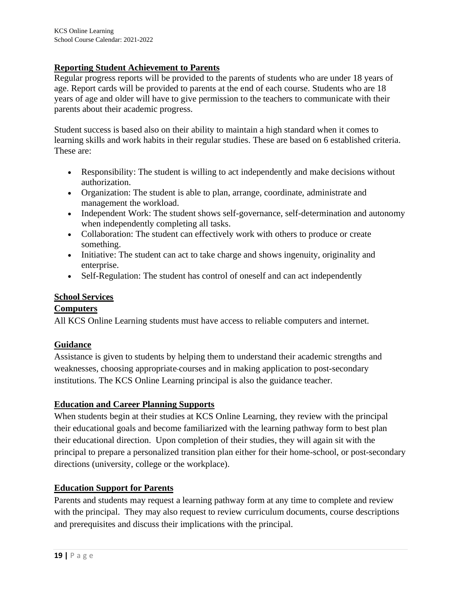### **Reporting Student Achievement to Parents**

Regular progress reports will be provided to the parents of students who are under 18 years of age. Report cards will be provided to parents at the end of each course. Students who are 18 years of age and older will have to give permission to the teachers to communicate with their parents about their academic progress.

Student success is based also on their ability to maintain a high standard when it comes to learning skills and work habits in their regular studies. These are based on 6 established criteria. These are:

- Responsibility: The student is willing to act independently and make decisions without authorization.
- Organization: The student is able to plan, arrange, coordinate, administrate and management the workload.
- Independent Work: The student shows self-governance, self-determination and autonomy when independently completing all tasks.
- Collaboration: The student can effectively work with others to produce or create something.
- Initiative: The student can act to take charge and shows ingenuity, originality and enterprise.
- Self-Regulation: The student has control of oneself and can act independently

#### **School Services**

#### **Computers**

All KCS Online Learning students must have access to reliable computers and internet.

# **Guidance**

Assistance is given to students by helping them to understand their academic strengths and weaknesses, choosing appropriate courses and in making application to post-secondary institutions. The KCS Online Learning principal is also the guidance teacher.

#### **Education and Career Planning Supports**

When students begin at their studies at KCS Online Learning, they review with the principal their educational goals and become familiarized with the learning pathway form to best plan their educational direction. Upon completion of their studies, they will again sit with the principal to prepare a personalized transition plan either for their home-school, or post-secondary directions (university, college or the workplace).

#### **Education Support for Parents**

Parents and students may request a learning pathway form at any time to complete and review with the principal. They may also request to review curriculum documents, course descriptions and prerequisites and discuss their implications with the principal.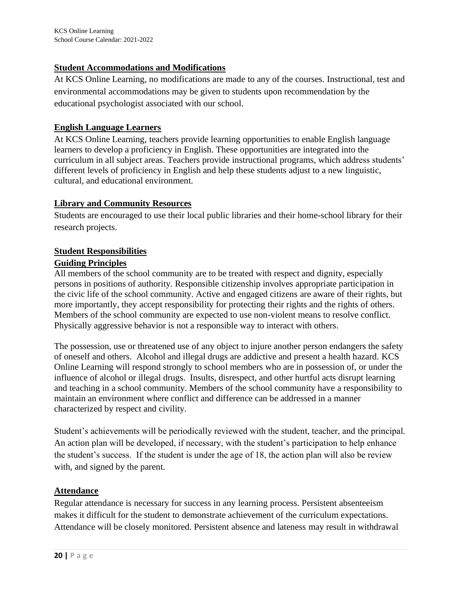### **Student Accommodations and Modifications**

At KCS Online Learning, no modifications are made to any of the courses. Instructional, test and environmental accommodations may be given to students upon recommendation by the educational psychologist associated with our school.

## **English Language Learners**

At KCS Online Learning, teachers provide learning opportunities to enable English language learners to develop a proficiency in English. These opportunities are integrated into the curriculum in all subject areas. Teachers provide instructional programs, which address students' different levels of proficiency in English and help these students adjust to a new linguistic, cultural, and educational environment.

#### **Library and Community Resources**

Students are encouraged to use their local public libraries and their home-school library for their research projects.

# **Student Responsibilities**

### **Guiding Principles**

All members of the school community are to be treated with respect and dignity, especially persons in positions of authority. Responsible citizenship involves appropriate participation in the civic life of the school community. Active and engaged citizens are aware of their rights, but more importantly, they accept responsibility for protecting their rights and the rights of others. Members of the school community are expected to use non-violent means to resolve conflict. Physically aggressive behavior is not a responsible way to interact with others.

The possession, use or threatened use of any object to injure another person endangers the safety of oneself and others. Alcohol and illegal drugs are addictive and present a health hazard. KCS Online Learning will respond strongly to school members who are in possession of, or under the influence of alcohol or illegal drugs. Insults, disrespect, and other hurtful acts disrupt learning and teaching in a school community. Members of the school community have a responsibility to maintain an environment where conflict and difference can be addressed in a manner characterized by respect and civility.

Student's achievements will be periodically reviewed with the student, teacher, and the principal. An action plan will be developed, if necessary, with the student's participation to help enhance the student's success. If the student is under the age of 18, the action plan will also be review with, and signed by the parent.

# **Attendance**

Regular attendance is necessary for success in any learning process. Persistent absenteeism makes it difficult for the student to demonstrate achievement of the curriculum expectations. Attendance will be closely monitored. Persistent absence and lateness may result in withdrawal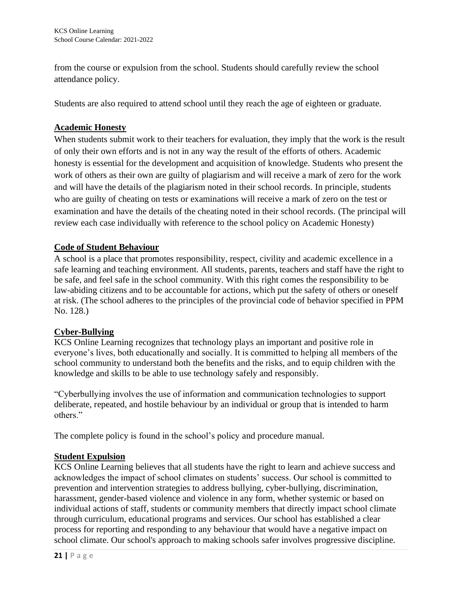from the course or expulsion from the school. Students should carefully review the school attendance policy.

Students are also required to attend school until they reach the age of eighteen or graduate.

# **Academic Honesty**

When students submit work to their teachers for evaluation, they imply that the work is the result of only their own efforts and is not in any way the result of the efforts of others. Academic honesty is essential for the development and acquisition of knowledge. Students who present the work of others as their own are guilty of plagiarism and will receive a mark of zero for the work and will have the details of the plagiarism noted in their school records. In principle, students who are guilty of cheating on tests or examinations will receive a mark of zero on the test or examination and have the details of the cheating noted in their school records. (The principal will review each case individually with reference to the school policy on Academic Honesty)

# **Code of Student Behaviour**

A school is a place that promotes responsibility, respect, civility and academic excellence in a safe learning and teaching environment. All students, parents, teachers and staff have the right to be safe, and feel safe in the school community. With this right comes the responsibility to be law-abiding citizens and to be accountable for actions, which put the safety of others or oneself at risk. (The school adheres to the principles of the provincial code of behavior specified in PPM No. 128.)

# **Cyber-Bullying**

KCS Online Learning recognizes that technology plays an important and positive role in everyone's lives, both educationally and socially. It is committed to helping all members of the school community to understand both the benefits and the risks, and to equip children with the knowledge and skills to be able to use technology safely and responsibly.

"Cyberbullying involves the use of information and communication technologies to support deliberate, repeated, and hostile behaviour by an individual or group that is intended to harm others."

The complete policy is found in the school's policy and procedure manual.

# **Student Expulsion**

KCS Online Learning believes that all students have the right to learn and achieve success and acknowledges the impact of school climates on students' success. Our school is committed to prevention and intervention strategies to address bullying, cyber-bullying, discrimination, harassment, gender-based violence and violence in any form, whether systemic or based on individual actions of staff, students or community members that directly impact school climate through curriculum, educational programs and services. Our school has established a clear process for reporting and responding to any behaviour that would have a negative impact on school climate. Our school's approach to making schools safer involves progressive discipline.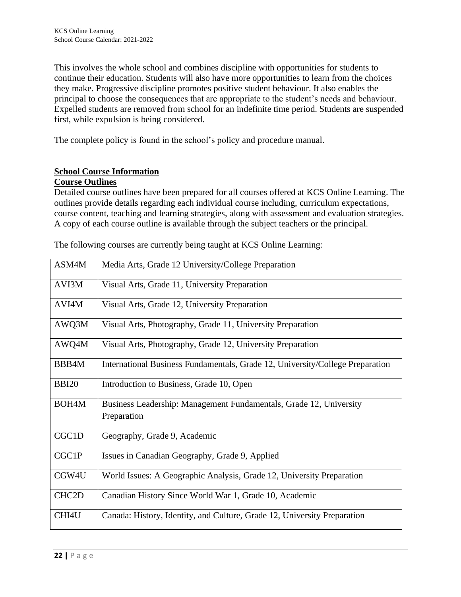This involves the whole school and combines discipline with opportunities for students to continue their education. Students will also have more opportunities to learn from the choices they make. Progressive discipline promotes positive student behaviour. It also enables the principal to choose the consequences that are appropriate to the student's needs and behaviour. Expelled students are removed from school for an indefinite time period. Students are suspended first, while expulsion is being considered.

The complete policy is found in the school's policy and procedure manual.

# **School Course Information**

#### **Course Outlines**

Detailed course outlines have been prepared for all courses offered at KCS Online Learning. The outlines provide details regarding each individual course including, curriculum expectations, course content, teaching and learning strategies, along with assessment and evaluation strategies. A copy of each course outline is available through the subject teachers or the principal.

| ASM4M              | Media Arts, Grade 12 University/College Preparation                               |
|--------------------|-----------------------------------------------------------------------------------|
| AVI3M              | Visual Arts, Grade 11, University Preparation                                     |
| AVI4M              | Visual Arts, Grade 12, University Preparation                                     |
| AWQ3M              | Visual Arts, Photography, Grade 11, University Preparation                        |
| AWQ4M              | Visual Arts, Photography, Grade 12, University Preparation                        |
| BBB4M              | International Business Fundamentals, Grade 12, University/College Preparation     |
| <b>BBI20</b>       | Introduction to Business, Grade 10, Open                                          |
| BOH <sub>4</sub> M | Business Leadership: Management Fundamentals, Grade 12, University<br>Preparation |
| CGC1D              | Geography, Grade 9, Academic                                                      |
| CGC1P              | Issues in Canadian Geography, Grade 9, Applied                                    |
| CGW4U              | World Issues: A Geographic Analysis, Grade 12, University Preparation             |
| CHC <sub>2</sub> D | Canadian History Since World War 1, Grade 10, Academic                            |
| CHI4U              | Canada: History, Identity, and Culture, Grade 12, University Preparation          |

The following courses are currently being taught at KCS Online Learning: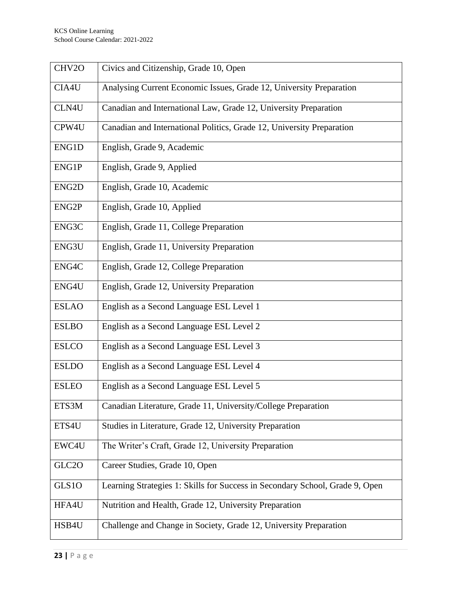| CHV2O              | Civics and Citizenship, Grade 10, Open                                       |
|--------------------|------------------------------------------------------------------------------|
| CIA4U              | Analysing Current Economic Issues, Grade 12, University Preparation          |
| CLN4U              | Canadian and International Law, Grade 12, University Preparation             |
| CPW4U              | Canadian and International Politics, Grade 12, University Preparation        |
| ENG1D              | English, Grade 9, Academic                                                   |
| ENG1P              | English, Grade 9, Applied                                                    |
| ENG <sub>2</sub> D | English, Grade 10, Academic                                                  |
| ENG2P              | English, Grade 10, Applied                                                   |
| ENG3C              | English, Grade 11, College Preparation                                       |
| ENG3U              | English, Grade 11, University Preparation                                    |
| ENG4C              | English, Grade 12, College Preparation                                       |
| ENG4U              | English, Grade 12, University Preparation                                    |
| <b>ESLAO</b>       | English as a Second Language ESL Level 1                                     |
| <b>ESLBO</b>       | English as a Second Language ESL Level 2                                     |
| <b>ESLCO</b>       | English as a Second Language ESL Level 3                                     |
| <b>ESLDO</b>       | English as a Second Language ESL Level 4                                     |
| <b>ESLEO</b>       | English as a Second Language ESL Level 5                                     |
| ETS3M              | Canadian Literature, Grade 11, University/College Preparation                |
| ETS4U              | Studies in Literature, Grade 12, University Preparation                      |
| EWC4U              | The Writer's Craft, Grade 12, University Preparation                         |
| GLC <sub>20</sub>  | Career Studies, Grade 10, Open                                               |
| GLS1O              | Learning Strategies 1: Skills for Success in Secondary School, Grade 9, Open |
| HFA4U              | Nutrition and Health, Grade 12, University Preparation                       |
| HSB4U              | Challenge and Change in Society, Grade 12, University Preparation            |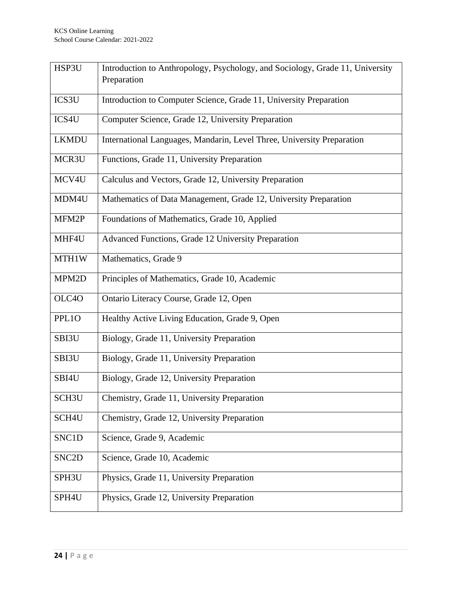| HSP3U              | Introduction to Anthropology, Psychology, and Sociology, Grade 11, University<br>Preparation |
|--------------------|----------------------------------------------------------------------------------------------|
| ICS3U              | Introduction to Computer Science, Grade 11, University Preparation                           |
| ICS4U              | Computer Science, Grade 12, University Preparation                                           |
| <b>LKMDU</b>       | International Languages, Mandarin, Level Three, University Preparation                       |
| MCR3U              | Functions, Grade 11, University Preparation                                                  |
| MCV4U              | Calculus and Vectors, Grade 12, University Preparation                                       |
| MDM4U              | Mathematics of Data Management, Grade 12, University Preparation                             |
| MFM2P              | Foundations of Mathematics, Grade 10, Applied                                                |
| MHF4U              | Advanced Functions, Grade 12 University Preparation                                          |
| MTH1W              | Mathematics, Grade 9                                                                         |
| MPM2D              | Principles of Mathematics, Grade 10, Academic                                                |
| OLC4O              | Ontario Literacy Course, Grade 12, Open                                                      |
| PPL1O              | Healthy Active Living Education, Grade 9, Open                                               |
| SBI3U              | Biology, Grade 11, University Preparation                                                    |
| SBI3U              | Biology, Grade 11, University Preparation                                                    |
| SBI4U              | Biology, Grade 12, University Preparation                                                    |
| SCH <sub>3</sub> U | Chemistry, Grade 11, University Preparation                                                  |
| SCH <sub>4U</sub>  | Chemistry, Grade 12, University Preparation                                                  |
| SNC1D              | Science, Grade 9, Academic                                                                   |
| SNC <sub>2</sub> D | Science, Grade 10, Academic                                                                  |
| SPH3U              | Physics, Grade 11, University Preparation                                                    |
| SPH4U              | Physics, Grade 12, University Preparation                                                    |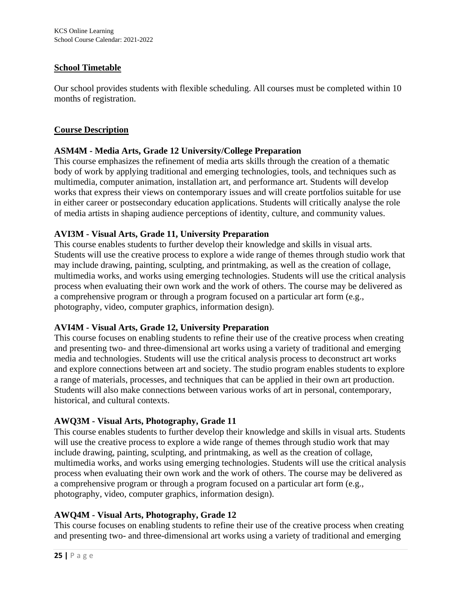## **School Timetable**

Our school provides students with flexible scheduling. All courses must be completed within 10 months of registration.

#### **Course Description**

# **ASM4M - Media Arts, Grade 12 University/College Preparation**

This course emphasizes the refinement of media arts skills through the creation of a thematic body of work by applying traditional and emerging technologies, tools, and techniques such as multimedia, computer animation, installation art, and performance art. Students will develop works that express their views on contemporary issues and will create portfolios suitable for use in either career or postsecondary education applications. Students will critically analyse the role of media artists in shaping audience perceptions of identity, culture, and community values.

### **AVI3M - Visual Arts, Grade 11, University Preparation**

This course enables students to further develop their knowledge and skills in visual arts. Students will use the creative process to explore a wide range of themes through studio work that may include drawing, painting, sculpting, and printmaking, as well as the creation of collage, multimedia works, and works using emerging technologies. Students will use the critical analysis process when evaluating their own work and the work of others. The course may be delivered as a comprehensive program or through a program focused on a particular art form (e.g., photography, video, computer graphics, information design).

# **AVI4M - Visual Arts, Grade 12, University Preparation**

This course focuses on enabling students to refine their use of the creative process when creating and presenting two- and three-dimensional art works using a variety of traditional and emerging media and technologies. Students will use the critical analysis process to deconstruct art works and explore connections between art and society. The studio program enables students to explore a range of materials, processes, and techniques that can be applied in their own art production. Students will also make connections between various works of art in personal, contemporary, historical, and cultural contexts.

# **AWQ3M - Visual Arts, Photography, Grade 11**

This course enables students to further develop their knowledge and skills in visual arts. Students will use the creative process to explore a wide range of themes through studio work that may include drawing, painting, sculpting, and printmaking, as well as the creation of collage, multimedia works, and works using emerging technologies. Students will use the critical analysis process when evaluating their own work and the work of others. The course may be delivered as a comprehensive program or through a program focused on a particular art form (e.g., photography, video, computer graphics, information design).

# **AWQ4M - Visual Arts, Photography, Grade 12**

This course focuses on enabling students to refine their use of the creative process when creating and presenting two- and three-dimensional art works using a variety of traditional and emerging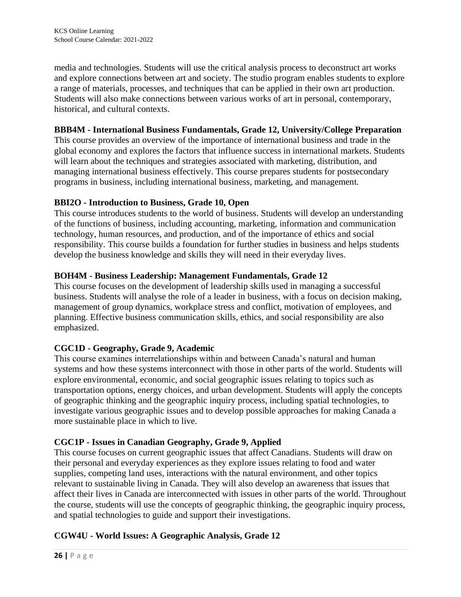media and technologies. Students will use the critical analysis process to deconstruct art works and explore connections between art and society. The studio program enables students to explore a range of materials, processes, and techniques that can be applied in their own art production. Students will also make connections between various works of art in personal, contemporary, historical, and cultural contexts.

# **BBB4M - International Business Fundamentals, Grade 12, University/College Preparation**

This course provides an overview of the importance of international business and trade in the global economy and explores the factors that influence success in international markets. Students will learn about the techniques and strategies associated with marketing, distribution, and managing international business effectively. This course prepares students for postsecondary programs in business, including international business, marketing, and management.

# **BBI2O - Introduction to Business, Grade 10, Open**

This course introduces students to the world of business. Students will develop an understanding of the functions of business, including accounting, marketing, information and communication technology, human resources, and production, and of the importance of ethics and social responsibility. This course builds a foundation for further studies in business and helps students develop the business knowledge and skills they will need in their everyday lives.

# **BOH4M - Business Leadership: Management Fundamentals, Grade 12**

This course focuses on the development of leadership skills used in managing a successful business. Students will analyse the role of a leader in business, with a focus on decision making, management of group dynamics, workplace stress and conflict, motivation of employees, and planning. Effective business communication skills, ethics, and social responsibility are also emphasized.

# **CGC1D - Geography, Grade 9, Academic**

This course examines interrelationships within and between Canada's natural and human systems and how these systems interconnect with those in other parts of the world. Students will explore environmental, economic, and social geographic issues relating to topics such as transportation options, energy choices, and urban development. Students will apply the concepts of geographic thinking and the geographic inquiry process, including spatial technologies, to investigate various geographic issues and to develop possible approaches for making Canada a more sustainable place in which to live.

# **CGC1P - Issues in Canadian Geography, Grade 9, Applied**

This course focuses on current geographic issues that affect Canadians. Students will draw on their personal and everyday experiences as they explore issues relating to food and water supplies, competing land uses, interactions with the natural environment, and other topics relevant to sustainable living in Canada. They will also develop an awareness that issues that affect their lives in Canada are interconnected with issues in other parts of the world. Throughout the course, students will use the concepts of geographic thinking, the geographic inquiry process, and spatial technologies to guide and support their investigations.

# **CGW4U - World Issues: A Geographic Analysis, Grade 12**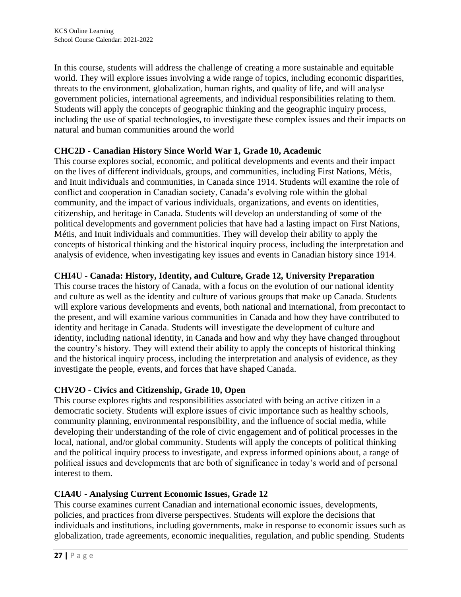In this course, students will address the challenge of creating a more sustainable and equitable world. They will explore issues involving a wide range of topics, including economic disparities, threats to the environment, globalization, human rights, and quality of life, and will analyse government policies, international agreements, and individual responsibilities relating to them. Students will apply the concepts of geographic thinking and the geographic inquiry process, including the use of spatial technologies, to investigate these complex issues and their impacts on natural and human communities around the world

# **CHC2D - Canadian History Since World War 1, Grade 10, Academic**

This course explores social, economic, and political developments and events and their impact on the lives of different individuals, groups, and communities, including First Nations, Métis, and Inuit individuals and communities, in Canada since 1914. Students will examine the role of conflict and cooperation in Canadian society, Canada's evolving role within the global community, and the impact of various individuals, organizations, and events on identities, citizenship, and heritage in Canada. Students will develop an understanding of some of the political developments and government policies that have had a lasting impact on First Nations, Métis, and Inuit individuals and communities. They will develop their ability to apply the concepts of historical thinking and the historical inquiry process, including the interpretation and analysis of evidence, when investigating key issues and events in Canadian history since 1914.

# **CHI4U - Canada: History, Identity, and Culture, Grade 12, University Preparation**

This course traces the history of Canada, with a focus on the evolution of our national identity and culture as well as the identity and culture of various groups that make up Canada. Students will explore various developments and events, both national and international, from precontact to the present, and will examine various communities in Canada and how they have contributed to identity and heritage in Canada. Students will investigate the development of culture and identity, including national identity, in Canada and how and why they have changed throughout the country's history. They will extend their ability to apply the concepts of historical thinking and the historical inquiry process, including the interpretation and analysis of evidence, as they investigate the people, events, and forces that have shaped Canada.

# **CHV2O - Civics and Citizenship, Grade 10, Open**

This course explores rights and responsibilities associated with being an active citizen in a democratic society. Students will explore issues of civic importance such as healthy schools, community planning, environmental responsibility, and the influence of social media, while developing their understanding of the role of civic engagement and of political processes in the local, national, and/or global community. Students will apply the concepts of political thinking and the political inquiry process to investigate, and express informed opinions about, a range of political issues and developments that are both of significance in today's world and of personal interest to them.

# **CIA4U - Analysing Current Economic Issues, Grade 12**

This course examines current Canadian and international economic issues, developments, policies, and practices from diverse perspectives. Students will explore the decisions that individuals and institutions, including governments, make in response to economic issues such as globalization, trade agreements, economic inequalities, regulation, and public spending. Students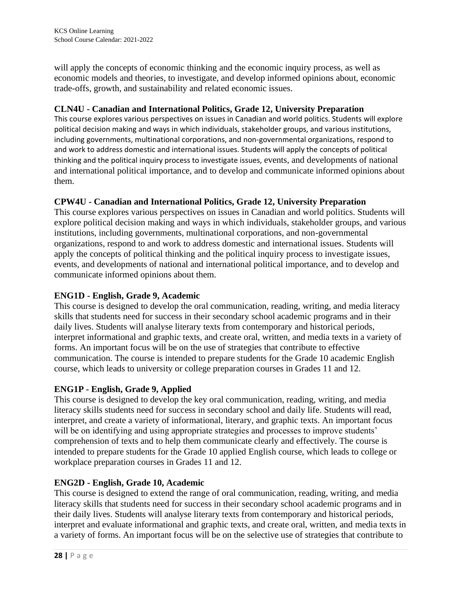will apply the concepts of economic thinking and the economic inquiry process, as well as economic models and theories, to investigate, and develop informed opinions about, economic trade-offs, growth, and sustainability and related economic issues.

# **CLN4U - Canadian and International Politics, Grade 12, University Preparation**

This course explores various perspectives on issues in Canadian and world politics. Students will explore political decision making and ways in which individuals, stakeholder groups, and various institutions, including governments, multinational corporations, and non-governmental organizations, respond to and work to address domestic and international issues. Students will apply the concepts of political thinking and the political inquiry process to investigate issues, events, and developments of national and international political importance, and to develop and communicate informed opinions about them.

# **CPW4U - Canadian and International Politics, Grade 12, University Preparation**

This course explores various perspectives on issues in Canadian and world politics. Students will explore political decision making and ways in which individuals, stakeholder groups, and various institutions, including governments, multinational corporations, and non-governmental organizations, respond to and work to address domestic and international issues. Students will apply the concepts of political thinking and the political inquiry process to investigate issues, events, and developments of national and international political importance, and to develop and communicate informed opinions about them.

# **ENG1D - English, Grade 9, Academic**

This course is designed to develop the oral communication, reading, writing, and media literacy skills that students need for success in their secondary school academic programs and in their daily lives. Students will analyse literary texts from contemporary and historical periods, interpret informational and graphic texts, and create oral, written, and media texts in a variety of forms. An important focus will be on the use of strategies that contribute to effective communication. The course is intended to prepare students for the Grade 10 academic English course, which leads to university or college preparation courses in Grades 11 and 12.

# **ENG1P - English, Grade 9, Applied**

This course is designed to develop the key oral communication, reading, writing, and media literacy skills students need for success in secondary school and daily life. Students will read, interpret, and create a variety of informational, literary, and graphic texts. An important focus will be on identifying and using appropriate strategies and processes to improve students' comprehension of texts and to help them communicate clearly and effectively. The course is intended to prepare students for the Grade 10 applied English course, which leads to college or workplace preparation courses in Grades 11 and 12.

# **ENG2D - English, Grade 10, Academic**

This course is designed to extend the range of oral communication, reading, writing, and media literacy skills that students need for success in their secondary school academic programs and in their daily lives. Students will analyse literary texts from contemporary and historical periods, interpret and evaluate informational and graphic texts, and create oral, written, and media texts in a variety of forms. An important focus will be on the selective use of strategies that contribute to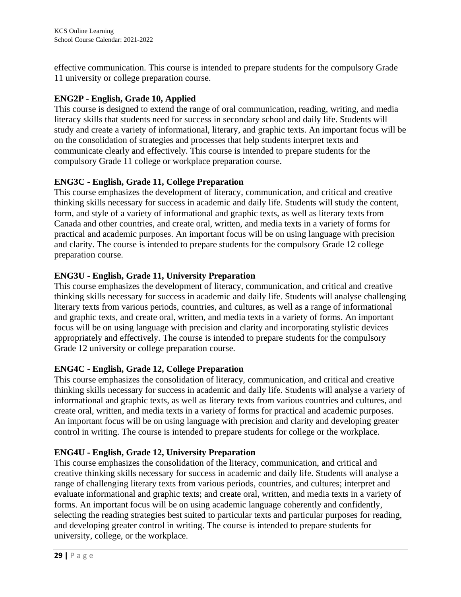effective communication. This course is intended to prepare students for the compulsory Grade 11 university or college preparation course.

# **ENG2P - English, Grade 10, Applied**

This course is designed to extend the range of oral communication, reading, writing, and media literacy skills that students need for success in secondary school and daily life. Students will study and create a variety of informational, literary, and graphic texts. An important focus will be on the consolidation of strategies and processes that help students interpret texts and communicate clearly and effectively. This course is intended to prepare students for the compulsory Grade 11 college or workplace preparation course.

# **ENG3C - English, Grade 11, College Preparation**

This course emphasizes the development of literacy, communication, and critical and creative thinking skills necessary for success in academic and daily life. Students will study the content, form, and style of a variety of informational and graphic texts, as well as literary texts from Canada and other countries, and create oral, written, and media texts in a variety of forms for practical and academic purposes. An important focus will be on using language with precision and clarity. The course is intended to prepare students for the compulsory Grade 12 college preparation course.

# **ENG3U - English, Grade 11, University Preparation**

This course emphasizes the development of literacy, communication, and critical and creative thinking skills necessary for success in academic and daily life. Students will analyse challenging literary texts from various periods, countries, and cultures, as well as a range of informational and graphic texts, and create oral, written, and media texts in a variety of forms. An important focus will be on using language with precision and clarity and incorporating stylistic devices appropriately and effectively. The course is intended to prepare students for the compulsory Grade 12 university or college preparation course.

# **ENG4C - English, Grade 12, College Preparation**

This course emphasizes the consolidation of literacy, communication, and critical and creative thinking skills necessary for success in academic and daily life. Students will analyse a variety of informational and graphic texts, as well as literary texts from various countries and cultures, and create oral, written, and media texts in a variety of forms for practical and academic purposes. An important focus will be on using language with precision and clarity and developing greater control in writing. The course is intended to prepare students for college or the workplace.

# **ENG4U - English, Grade 12, University Preparation**

This course emphasizes the consolidation of the literacy, communication, and critical and creative thinking skills necessary for success in academic and daily life. Students will analyse a range of challenging literary texts from various periods, countries, and cultures; interpret and evaluate informational and graphic texts; and create oral, written, and media texts in a variety of forms. An important focus will be on using academic language coherently and confidently, selecting the reading strategies best suited to particular texts and particular purposes for reading, and developing greater control in writing. The course is intended to prepare students for university, college, or the workplace.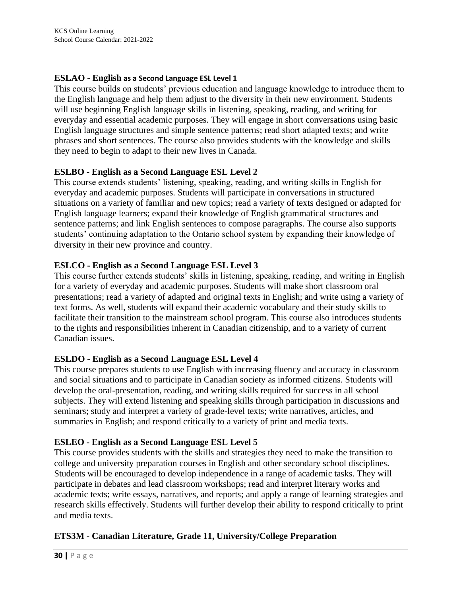## **ESLAO - English as a Second Language ESL Level 1**

This course builds on students' previous education and language knowledge to introduce them to the English language and help them adjust to the diversity in their new environment. Students will use beginning English language skills in listening, speaking, reading, and writing for everyday and essential academic purposes. They will engage in short conversations using basic English language structures and simple sentence patterns; read short adapted texts; and write phrases and short sentences. The course also provides students with the knowledge and skills they need to begin to adapt to their new lives in Canada.

### **ESLBO - English as a Second Language ESL Level 2**

This course extends students' listening, speaking, reading, and writing skills in English for everyday and academic purposes. Students will participate in conversations in structured situations on a variety of familiar and new topics; read a variety of texts designed or adapted for English language learners; expand their knowledge of English grammatical structures and sentence patterns; and link English sentences to compose paragraphs. The course also supports students' continuing adaptation to the Ontario school system by expanding their knowledge of diversity in their new province and country.

# **ESLCO - English as a Second Language ESL Level 3**

This course further extends students' skills in listening, speaking, reading, and writing in English for a variety of everyday and academic purposes. Students will make short classroom oral presentations; read a variety of adapted and original texts in English; and write using a variety of text forms. As well, students will expand their academic vocabulary and their study skills to facilitate their transition to the mainstream school program. This course also introduces students to the rights and responsibilities inherent in Canadian citizenship, and to a variety of current Canadian issues.

# **ESLDO - English as a Second Language ESL Level 4**

This course prepares students to use English with increasing fluency and accuracy in classroom and social situations and to participate in Canadian society as informed citizens. Students will develop the oral-presentation, reading, and writing skills required for success in all school subjects. They will extend listening and speaking skills through participation in discussions and seminars; study and interpret a variety of grade-level texts; write narratives, articles, and summaries in English; and respond critically to a variety of print and media texts.

# **ESLEO - English as a Second Language ESL Level 5**

This course provides students with the skills and strategies they need to make the transition to college and university preparation courses in English and other secondary school disciplines. Students will be encouraged to develop independence in a range of academic tasks. They will participate in debates and lead classroom workshops; read and interpret literary works and academic texts; write essays, narratives, and reports; and apply a range of learning strategies and research skills effectively. Students will further develop their ability to respond critically to print and media texts.

# **ETS3M - Canadian Literature, Grade 11, University/College Preparation**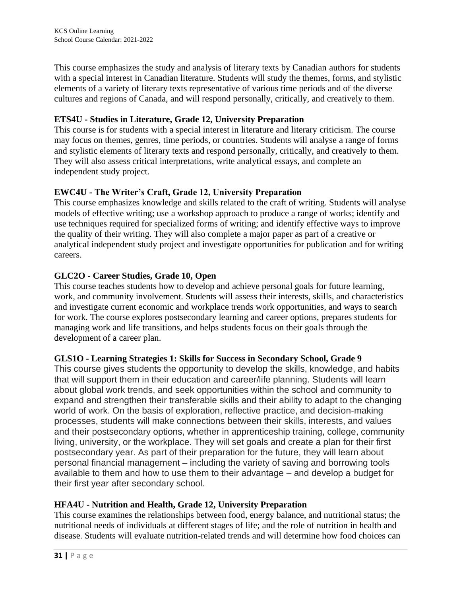This course emphasizes the study and analysis of literary texts by Canadian authors for students with a special interest in Canadian literature. Students will study the themes, forms, and stylistic elements of a variety of literary texts representative of various time periods and of the diverse cultures and regions of Canada, and will respond personally, critically, and creatively to them.

# **ETS4U - Studies in Literature, Grade 12, University Preparation**

This course is for students with a special interest in literature and literary criticism. The course may focus on themes, genres, time periods, or countries. Students will analyse a range of forms and stylistic elements of literary texts and respond personally, critically, and creatively to them. They will also assess critical interpretations, write analytical essays, and complete an independent study project.

# **EWC4U - The Writer's Craft, Grade 12, University Preparation**

This course emphasizes knowledge and skills related to the craft of writing. Students will analyse models of effective writing; use a workshop approach to produce a range of works; identify and use techniques required for specialized forms of writing; and identify effective ways to improve the quality of their writing. They will also complete a major paper as part of a creative or analytical independent study project and investigate opportunities for publication and for writing careers.

# **GLC2O - Career Studies, Grade 10, Open**

This course teaches students how to develop and achieve personal goals for future learning, work, and community involvement. Students will assess their interests, skills, and characteristics and investigate current economic and workplace trends work opportunities, and ways to search for work. The course explores postsecondary learning and career options, prepares students for managing work and life transitions, and helps students focus on their goals through the development of a career plan.

# **GLS1O - Learning Strategies 1: Skills for Success in Secondary School, Grade 9**

This course gives students the opportunity to develop the skills, knowledge, and habits that will support them in their education and career/life planning. Students will learn about global work trends, and seek opportunities within the school and community to expand and strengthen their transferable skills and their ability to adapt to the changing world of work. On the basis of exploration, reflective practice, and decision-making processes, students will make connections between their skills, interests, and values and their postsecondary options, whether in apprenticeship training, college, community living, university, or the workplace. They will set goals and create a plan for their first postsecondary year. As part of their preparation for the future, they will learn about personal financial management – including the variety of saving and borrowing tools available to them and how to use them to their advantage – and develop a budget for their first year after secondary school.

# **HFA4U - Nutrition and Health, Grade 12, University Preparation**

This course examines the relationships between food, energy balance, and nutritional status; the nutritional needs of individuals at different stages of life; and the role of nutrition in health and disease. Students will evaluate nutrition-related trends and will determine how food choices can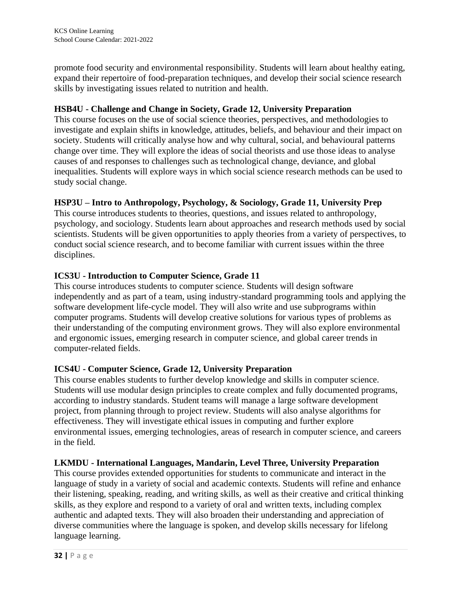promote food security and environmental responsibility. Students will learn about healthy eating, expand their repertoire of food-preparation techniques, and develop their social science research skills by investigating issues related to nutrition and health.

# **HSB4U - Challenge and Change in Society, Grade 12, University Preparation**

This course focuses on the use of social science theories, perspectives, and methodologies to investigate and explain shifts in knowledge, attitudes, beliefs, and behaviour and their impact on society. Students will critically analyse how and why cultural, social, and behavioural patterns change over time. They will explore the ideas of social theorists and use those ideas to analyse causes of and responses to challenges such as technological change, deviance, and global inequalities. Students will explore ways in which social science research methods can be used to study social change.

# **HSP3U – Intro to Anthropology, Psychology, & Sociology, Grade 11, University Prep**

This course introduces students to theories, questions, and issues related to anthropology, psychology, and sociology. Students learn about approaches and research methods used by social scientists. Students will be given opportunities to apply theories from a variety of perspectives, to conduct social science research, and to become familiar with current issues within the three disciplines.

# **ICS3U - Introduction to Computer Science, Grade 11**

This course introduces students to computer science. Students will design software independently and as part of a team, using industry-standard programming tools and applying the software development life-cycle model. They will also write and use subprograms within computer programs. Students will develop creative solutions for various types of problems as their understanding of the computing environment grows. They will also explore environmental and ergonomic issues, emerging research in computer science, and global career trends in computer-related fields.

# **ICS4U - Computer Science, Grade 12, University Preparation**

This course enables students to further develop knowledge and skills in computer science. Students will use modular design principles to create complex and fully documented programs, according to industry standards. Student teams will manage a large software development project, from planning through to project review. Students will also analyse algorithms for effectiveness. They will investigate ethical issues in computing and further explore environmental issues, emerging technologies, areas of research in computer science, and careers in the field.

# **LKMDU - International Languages, Mandarin, Level Three, University Preparation**

This course provides extended opportunities for students to communicate and interact in the language of study in a variety of social and academic contexts. Students will refine and enhance their listening, speaking, reading, and writing skills, as well as their creative and critical thinking skills, as they explore and respond to a variety of oral and written texts, including complex authentic and adapted texts. They will also broaden their understanding and appreciation of diverse communities where the language is spoken, and develop skills necessary for lifelong language learning.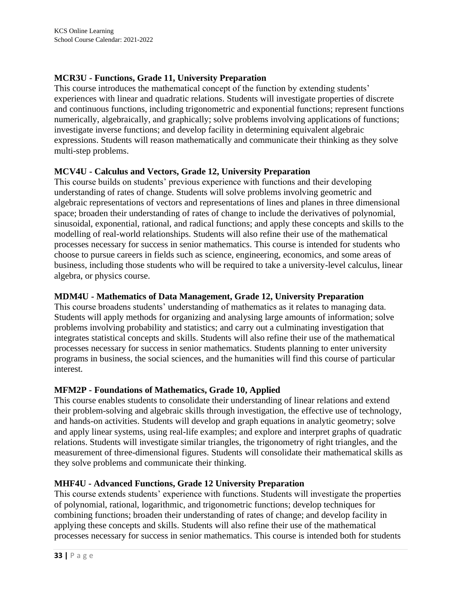# **MCR3U - Functions, Grade 11, University Preparation**

This course introduces the mathematical concept of the function by extending students' experiences with linear and quadratic relations. Students will investigate properties of discrete and continuous functions, including trigonometric and exponential functions; represent functions numerically, algebraically, and graphically; solve problems involving applications of functions; investigate inverse functions; and develop facility in determining equivalent algebraic expressions. Students will reason mathematically and communicate their thinking as they solve multi-step problems.

### **MCV4U - Calculus and Vectors, Grade 12, University Preparation**

This course builds on students' previous experience with functions and their developing understanding of rates of change. Students will solve problems involving geometric and algebraic representations of vectors and representations of lines and planes in three dimensional space; broaden their understanding of rates of change to include the derivatives of polynomial, sinusoidal, exponential, rational, and radical functions; and apply these concepts and skills to the modelling of real-world relationships. Students will also refine their use of the mathematical processes necessary for success in senior mathematics. This course is intended for students who choose to pursue careers in fields such as science, engineering, economics, and some areas of business, including those students who will be required to take a university-level calculus, linear algebra, or physics course.

## **MDM4U - Mathematics of Data Management, Grade 12, University Preparation**

This course broadens students' understanding of mathematics as it relates to managing data. Students will apply methods for organizing and analysing large amounts of information; solve problems involving probability and statistics; and carry out a culminating investigation that integrates statistical concepts and skills. Students will also refine their use of the mathematical processes necessary for success in senior mathematics. Students planning to enter university programs in business, the social sciences, and the humanities will find this course of particular interest.

# **MFM2P - Foundations of Mathematics, Grade 10, Applied**

This course enables students to consolidate their understanding of linear relations and extend their problem-solving and algebraic skills through investigation, the effective use of technology, and hands-on activities. Students will develop and graph equations in analytic geometry; solve and apply linear systems, using real-life examples; and explore and interpret graphs of quadratic relations. Students will investigate similar triangles, the trigonometry of right triangles, and the measurement of three-dimensional figures. Students will consolidate their mathematical skills as they solve problems and communicate their thinking.

#### **MHF4U - Advanced Functions, Grade 12 University Preparation**

This course extends students' experience with functions. Students will investigate the properties of polynomial, rational, logarithmic, and trigonometric functions; develop techniques for combining functions; broaden their understanding of rates of change; and develop facility in applying these concepts and skills. Students will also refine their use of the mathematical processes necessary for success in senior mathematics. This course is intended both for students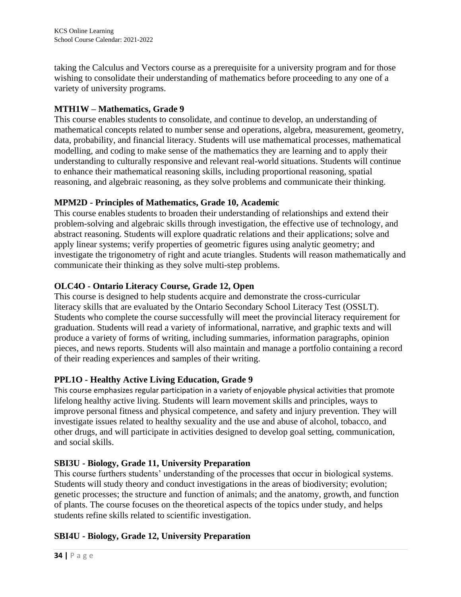taking the Calculus and Vectors course as a prerequisite for a university program and for those wishing to consolidate their understanding of mathematics before proceeding to any one of a variety of university programs.

# **MTH1W – Mathematics, Grade 9**

This course enables students to consolidate, and continue to develop, an understanding of mathematical concepts related to number sense and operations, algebra, measurement, geometry, data, probability, and financial literacy. Students will use mathematical processes, mathematical modelling, and coding to make sense of the mathematics they are learning and to apply their understanding to culturally responsive and relevant real-world situations. Students will continue to enhance their mathematical reasoning skills, including proportional reasoning, spatial reasoning, and algebraic reasoning, as they solve problems and communicate their thinking.

# **MPM2D - Principles of Mathematics, Grade 10, Academic**

This course enables students to broaden their understanding of relationships and extend their problem-solving and algebraic skills through investigation, the effective use of technology, and abstract reasoning. Students will explore quadratic relations and their applications; solve and apply linear systems; verify properties of geometric figures using analytic geometry; and investigate the trigonometry of right and acute triangles. Students will reason mathematically and communicate their thinking as they solve multi-step problems.

# **OLC4O - Ontario Literacy Course, Grade 12, Open**

This course is designed to help students acquire and demonstrate the cross-curricular literacy skills that are evaluated by the Ontario Secondary School Literacy Test (OSSLT). Students who complete the course successfully will meet the provincial literacy requirement for graduation. Students will read a variety of informational, narrative, and graphic texts and will produce a variety of forms of writing, including summaries, information paragraphs, opinion pieces, and news reports. Students will also maintain and manage a portfolio containing a record of their reading experiences and samples of their writing.

# **PPL1O - Healthy Active Living Education, Grade 9**

This course emphasizes regular participation in a variety of enjoyable physical activities that promote lifelong healthy active living. Students will learn movement skills and principles, ways to improve personal fitness and physical competence, and safety and injury prevention. They will investigate issues related to healthy sexuality and the use and abuse of alcohol, tobacco, and other drugs, and will participate in activities designed to develop goal setting, communication, and social skills.

# **SBI3U - Biology, Grade 11, University Preparation**

This course furthers students' understanding of the processes that occur in biological systems. Students will study theory and conduct investigations in the areas of biodiversity; evolution; genetic processes; the structure and function of animals; and the anatomy, growth, and function of plants. The course focuses on the theoretical aspects of the topics under study, and helps students refine skills related to scientific investigation.

# **SBI4U - Biology, Grade 12, University Preparation**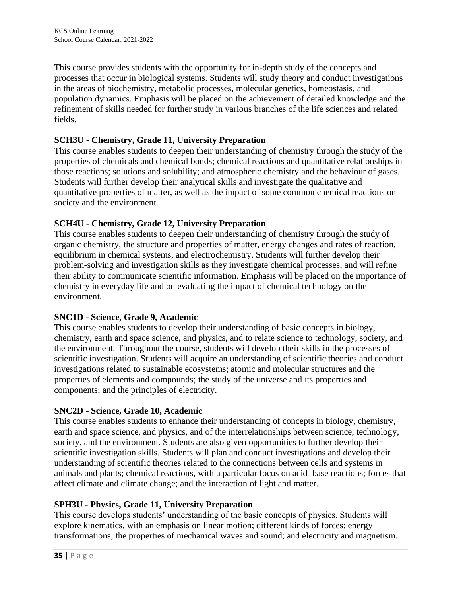This course provides students with the opportunity for in-depth study of the concepts and processes that occur in biological systems. Students will study theory and conduct investigations in the areas of biochemistry, metabolic processes, molecular genetics, homeostasis, and population dynamics. Emphasis will be placed on the achievement of detailed knowledge and the refinement of skills needed for further study in various branches of the life sciences and related fields.

# **SCH3U - Chemistry, Grade 11, University Preparation**

This course enables students to deepen their understanding of chemistry through the study of the properties of chemicals and chemical bonds; chemical reactions and quantitative relationships in those reactions; solutions and solubility; and atmospheric chemistry and the behaviour of gases. Students will further develop their analytical skills and investigate the qualitative and quantitative properties of matter, as well as the impact of some common chemical reactions on society and the environment.

# **SCH4U - Chemistry, Grade 12, University Preparation**

This course enables students to deepen their understanding of chemistry through the study of organic chemistry, the structure and properties of matter, energy changes and rates of reaction, equilibrium in chemical systems, and electrochemistry. Students will further develop their problem-solving and investigation skills as they investigate chemical processes, and will refine their ability to communicate scientific information. Emphasis will be placed on the importance of chemistry in everyday life and on evaluating the impact of chemical technology on the environment.

# **SNC1D - Science, Grade 9, Academic**

This course enables students to develop their understanding of basic concepts in biology, chemistry, earth and space science, and physics, and to relate science to technology, society, and the environment. Throughout the course, students will develop their skills in the processes of scientific investigation. Students will acquire an understanding of scientific theories and conduct investigations related to sustainable ecosystems; atomic and molecular structures and the properties of elements and compounds; the study of the universe and its properties and components; and the principles of electricity.

# **SNC2D - Science, Grade 10, Academic**

This course enables students to enhance their understanding of concepts in biology, chemistry, earth and space science, and physics, and of the interrelationships between science, technology, society, and the environment. Students are also given opportunities to further develop their scientific investigation skills. Students will plan and conduct investigations and develop their understanding of scientific theories related to the connections between cells and systems in animals and plants; chemical reactions, with a particular focus on acid–base reactions; forces that affect climate and climate change; and the interaction of light and matter.

# **SPH3U - Physics, Grade 11, University Preparation**

This course develops students' understanding of the basic concepts of physics. Students will explore kinematics, with an emphasis on linear motion; different kinds of forces; energy transformations; the properties of mechanical waves and sound; and electricity and magnetism.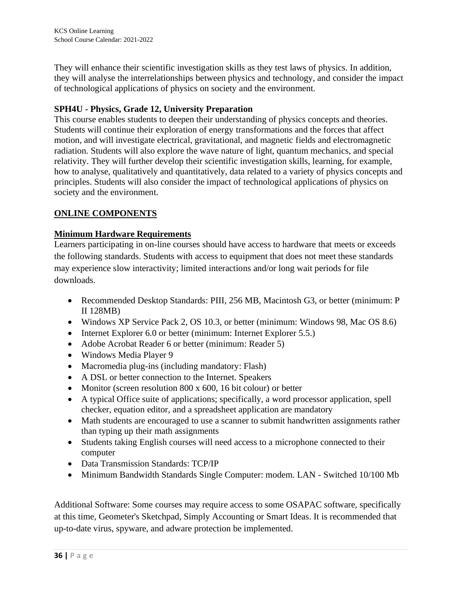They will enhance their scientific investigation skills as they test laws of physics. In addition, they will analyse the interrelationships between physics and technology, and consider the impact of technological applications of physics on society and the environment.

# **SPH4U - Physics, Grade 12, University Preparation**

This course enables students to deepen their understanding of physics concepts and theories. Students will continue their exploration of energy transformations and the forces that affect motion, and will investigate electrical, gravitational, and magnetic fields and electromagnetic radiation. Students will also explore the wave nature of light, quantum mechanics, and special relativity. They will further develop their scientific investigation skills, learning, for example, how to analyse, qualitatively and quantitatively, data related to a variety of physics concepts and principles. Students will also consider the impact of technological applications of physics on society and the environment.

# **ONLINE COMPONENTS**

# **Minimum Hardware Requirements**

Learners participating in on-line courses should have access to hardware that meets or exceeds the following standards. Students with access to equipment that does not meet these standards may experience slow interactivity; limited interactions and/or long wait periods for file downloads.

- Recommended Desktop Standards: PIII, 256 MB, Macintosh G3, or better (minimum: P II 128MB)
- Windows XP Service Pack 2, OS 10.3, or better (minimum: Windows 98, Mac OS 8.6)
- Internet Explorer 6.0 or better (minimum: Internet Explorer 5.5.)
- Adobe Acrobat Reader 6 or better (minimum: Reader 5)
- Windows Media Player 9
- Macromedia plug-ins (including mandatory: Flash)
- A DSL or better connection to the Internet. Speakers
- Monitor (screen resolution 800 x 600, 16 bit colour) or better
- A typical Office suite of applications; specifically, a word processor application, spell checker, equation editor, and a spreadsheet application are mandatory
- Math students are encouraged to use a scanner to submit handwritten assignments rather than typing up their math assignments
- Students taking English courses will need access to a microphone connected to their computer
- Data Transmission Standards: TCP/IP
- Minimum Bandwidth Standards Single Computer: modem. LAN Switched 10/100 Mb

Additional Software: Some courses may require access to some OSAPAC software, specifically at this time, Geometer's Sketchpad, Simply Accounting or Smart Ideas. It is recommended that up-to-date virus, spyware, and adware protection be implemented.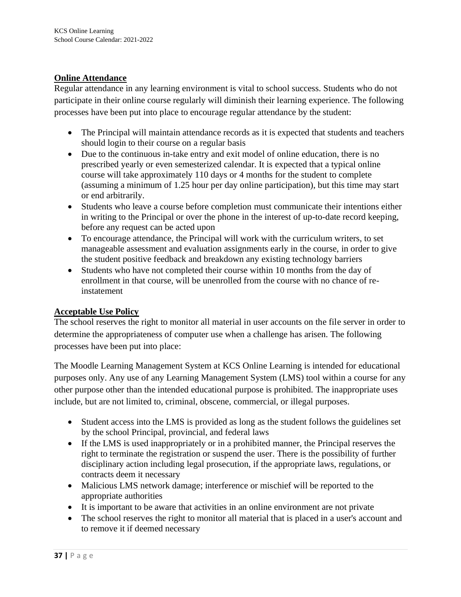# **Online Attendance**

Regular attendance in any learning environment is vital to school success. Students who do not participate in their online course regularly will diminish their learning experience. The following processes have been put into place to encourage regular attendance by the student:

- The Principal will maintain attendance records as it is expected that students and teachers should login to their course on a regular basis
- Due to the continuous in-take entry and exit model of online education, there is no prescribed yearly or even semesterized calendar. It is expected that a typical online course will take approximately 110 days or 4 months for the student to complete (assuming a minimum of 1.25 hour per day online participation), but this time may start or end arbitrarily.
- Students who leave a course before completion must communicate their intentions either in writing to the Principal or over the phone in the interest of up-to-date record keeping, before any request can be acted upon
- To encourage attendance, the Principal will work with the curriculum writers, to set manageable assessment and evaluation assignments early in the course, in order to give the student positive feedback and breakdown any existing technology barriers
- Students who have not completed their course within 10 months from the day of enrollment in that course, will be unenrolled from the course with no chance of reinstatement

#### **Acceptable Use Policy**

The school reserves the right to monitor all material in user accounts on the file server in order to determine the appropriateness of computer use when a challenge has arisen. The following processes have been put into place:

The Moodle Learning Management System at KCS Online Learning is intended for educational purposes only. Any use of any Learning Management System (LMS) tool within a course for any other purpose other than the intended educational purpose is prohibited. The inappropriate uses include, but are not limited to, criminal, obscene, commercial, or illegal purposes.

- Student access into the LMS is provided as long as the student follows the guidelines set by the school Principal, provincial, and federal laws
- If the LMS is used inappropriately or in a prohibited manner, the Principal reserves the right to terminate the registration or suspend the user. There is the possibility of further disciplinary action including legal prosecution, if the appropriate laws, regulations, or contracts deem it necessary
- Malicious LMS network damage; interference or mischief will be reported to the appropriate authorities
- It is important to be aware that activities in an online environment are not private
- The school reserves the right to monitor all material that is placed in a user's account and to remove it if deemed necessary